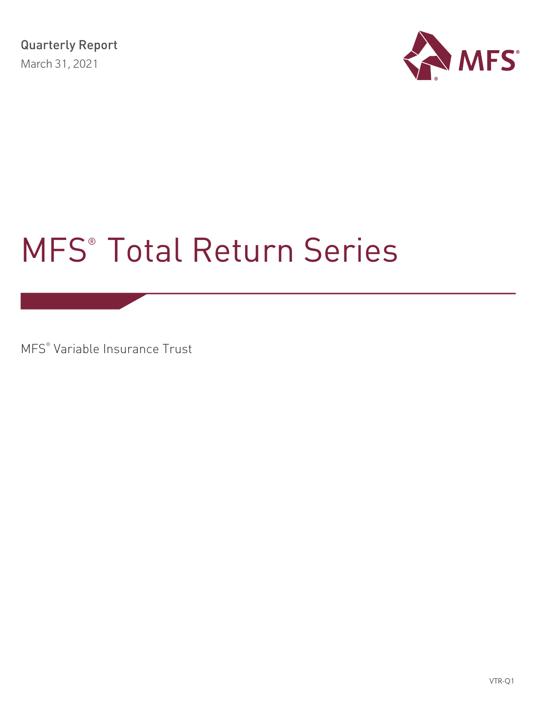

# MFS® Total Return Series

MFS® Variable Insurance Trust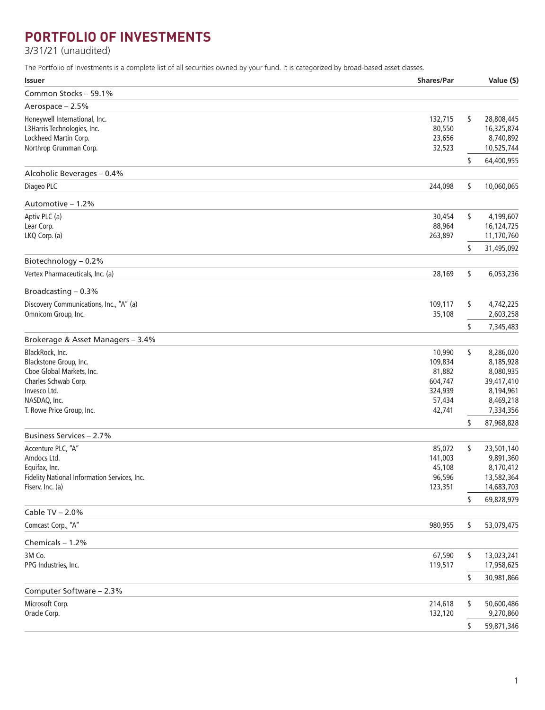# **PORTFOLIO OF INVESTMENTS**

3/31/21 (unaudited)

The Portfolio of Investments is a complete list of all securities owned by your fund. It is categorized by broad-based asset classes.

| <b>Issuer</b>                                | <b>Shares/Par</b> | Value (\$)       |
|----------------------------------------------|-------------------|------------------|
| Common Stocks - 59.1%                        |                   |                  |
| Aerospace - 2.5%                             |                   |                  |
| Honeywell International, Inc.                | 132,715           | \$<br>28,808,445 |
| L3Harris Technologies, Inc.                  | 80,550            | 16,325,874       |
| Lockheed Martin Corp.                        | 23,656            | 8,740,892        |
| Northrop Grumman Corp.                       | 32,523            | 10,525,744       |
|                                              |                   | \$<br>64,400,955 |
| Alcoholic Beverages - 0.4%                   |                   |                  |
| Diageo PLC                                   | 244,098           | \$<br>10,060,065 |
| Automotive - 1.2%                            |                   |                  |
| Aptiv PLC (a)                                | 30,454            | \$<br>4,199,607  |
| Lear Corp.                                   | 88,964            | 16,124,725       |
| LKQ Corp. (a)                                | 263,897           | 11,170,760       |
|                                              |                   | \$<br>31,495,092 |
| Biotechnology - 0.2%                         |                   |                  |
| Vertex Pharmaceuticals, Inc. (a)             | 28,169            | \$<br>6,053,236  |
| Broadcasting - 0.3%                          |                   |                  |
| Discovery Communications, Inc., "A" (a)      | 109,117           | \$<br>4,742,225  |
| Omnicom Group, Inc.                          | 35,108            | 2,603,258        |
|                                              |                   | \$<br>7,345,483  |
| Brokerage & Asset Managers - 3.4%            |                   |                  |
| BlackRock, Inc.                              | 10,990            | \$<br>8,286,020  |
| Blackstone Group, Inc.                       | 109,834           | 8,185,928        |
| Cboe Global Markets, Inc.                    | 81,882            | 8,080,935        |
| Charles Schwab Corp.                         | 604,747           | 39,417,410       |
| Invesco Ltd.                                 | 324,939           | 8,194,961        |
| NASDAQ, Inc.                                 | 57,434            | 8,469,218        |
| T. Rowe Price Group, Inc.                    | 42,741            | 7,334,356        |
|                                              |                   | \$<br>87,968,828 |
| Business Services - 2.7%                     |                   |                  |
| Accenture PLC, "A"                           | 85,072            | \$<br>23,501,140 |
| Amdocs Ltd.                                  | 141,003           | 9,891,360        |
| Equifax, Inc.                                | 45,108            | 8,170,412        |
| Fidelity National Information Services, Inc. | 96,596            | 13,582,364       |
| Fiserv, Inc. (a)                             | 123,351           | 14,683,703       |
| Cable TV - 2.0%                              |                   | \$<br>69,828,979 |
| Comcast Corp., "A"                           |                   | 53,079,475       |
|                                              | 980,955           | \$               |
| Chemicals - 1.2%                             |                   |                  |
| 3M Co.                                       | 67,590            | \$<br>13,023,241 |
| PPG Industries, Inc.                         | 119,517           | 17,958,625       |
|                                              |                   | \$<br>30,981,866 |
| Computer Software - 2.3%                     |                   |                  |
| Microsoft Corp.                              | 214,618           | \$<br>50,600,486 |
| Oracle Corp.                                 | 132,120           | 9,270,860        |
|                                              |                   | \$<br>59,871,346 |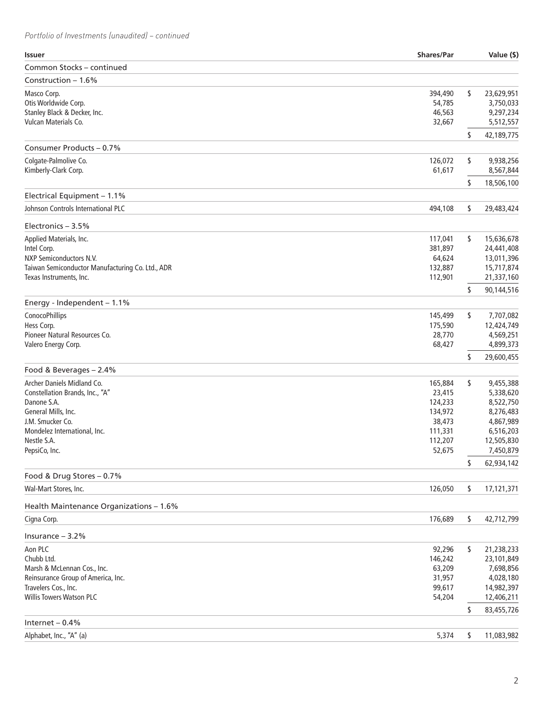| <b>Issuer</b>                                    | <b>Shares/Par</b> | Value (\$)       |
|--------------------------------------------------|-------------------|------------------|
| Common Stocks - continued                        |                   |                  |
| Construction $-1.6%$                             |                   |                  |
| Masco Corp.                                      | 394,490           | \$<br>23,629,951 |
| Otis Worldwide Corp.                             | 54,785            | 3,750,033        |
| Stanley Black & Decker, Inc.                     | 46,563            | 9,297,234        |
| Vulcan Materials Co.                             | 32,667            | 5,512,557        |
|                                                  |                   | \$<br>42,189,775 |
| Consumer Products - 0.7%                         |                   |                  |
| Colgate-Palmolive Co.                            | 126,072           | \$<br>9,938,256  |
| Kimberly-Clark Corp.                             | 61,617            | 8,567,844        |
|                                                  |                   | \$<br>18,506,100 |
| Electrical Equipment - 1.1%                      |                   |                  |
| Johnson Controls International PLC               | 494,108           | \$<br>29,483,424 |
| Electronics $-3.5%$                              |                   |                  |
| Applied Materials, Inc.                          | 117,041           | \$<br>15,636,678 |
| Intel Corp.                                      | 381,897           | 24,441,408       |
| NXP Semiconductors N.V.                          | 64,624            | 13,011,396       |
| Taiwan Semiconductor Manufacturing Co. Ltd., ADR | 132,887           | 15,717,874       |
| Texas Instruments, Inc.                          | 112,901           | 21,337,160       |
|                                                  |                   | \$<br>90,144,516 |
| Energy - Independent $-1.1%$                     |                   |                  |
| ConocoPhillips                                   | 145,499           | \$<br>7,707,082  |
| Hess Corp.                                       | 175,590           | 12,424,749       |
| Pioneer Natural Resources Co.                    | 28,770            | 4,569,251        |
| Valero Energy Corp.                              | 68,427            | 4,899,373        |
|                                                  |                   | \$<br>29,600,455 |
| Food & Beverages - 2.4%                          |                   |                  |
| Archer Daniels Midland Co.                       | 165,884           | \$<br>9,455,388  |
| Constellation Brands, Inc., "A"                  | 23,415            | 5,338,620        |
| Danone S.A.                                      | 124,233           | 8,522,750        |
| General Mills, Inc.                              | 134,972           | 8,276,483        |
| J.M. Smucker Co.                                 | 38,473            | 4,867,989        |
| Mondelez International, Inc.                     | 111,331           | 6,516,203        |
| Nestle S.A.                                      | 112,207           | 12,505,830       |
| PepsiCo, Inc.                                    | 52,675            | 7,450,879        |
| Food & Drug Stores - 0.7%                        |                   | \$<br>62,934,142 |
| Wal-Mart Stores, Inc.                            | 126,050           | \$<br>17,121,371 |
|                                                  |                   |                  |
| Health Maintenance Organizations - 1.6%          |                   |                  |
| Cigna Corp.                                      | 176,689           | \$<br>42,712,799 |
| Insurance $-3.2%$                                |                   |                  |
| Aon PLC                                          | 92,296            | \$<br>21,238,233 |
| Chubb Ltd.                                       | 146,242           | 23,101,849       |
| Marsh & McLennan Cos., Inc.                      | 63,209            | 7,698,856        |
| Reinsurance Group of America, Inc.               | 31,957            | 4,028,180        |
| Travelers Cos., Inc.                             | 99,617            | 14,982,397       |
| <b>Willis Towers Watson PLC</b>                  | 54,204            | 12,406,211       |
|                                                  |                   | \$<br>83,455,726 |
| Internet $-0.4%$                                 |                   |                  |
| Alphabet, Inc., "A" (a)                          | 5,374             | \$<br>11,083,982 |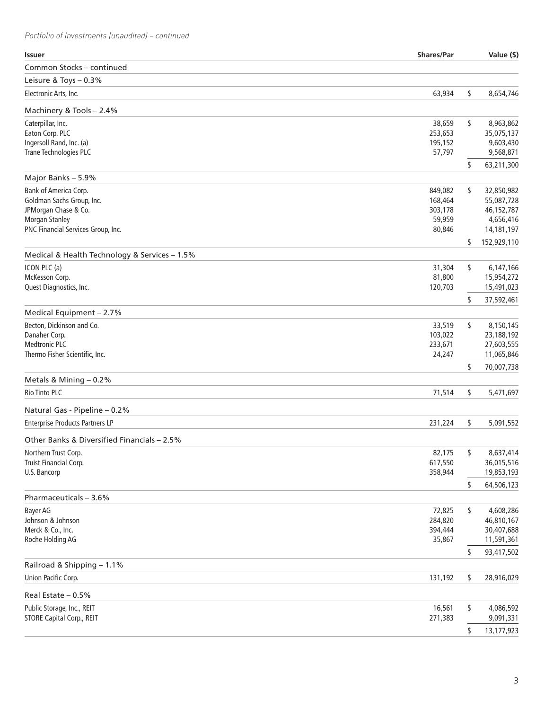| <b>Issuer</b>                                    | <b>Shares/Par</b> |    | Value (\$)               |
|--------------------------------------------------|-------------------|----|--------------------------|
| Common Stocks - continued                        |                   |    |                          |
| Leisure & Toys - 0.3%                            |                   |    |                          |
| Electronic Arts, Inc.                            | 63,934            | \$ | 8,654,746                |
| Machinery & Tools - 2.4%                         |                   |    |                          |
| Caterpillar, Inc.                                | 38,659            | \$ | 8,963,862                |
| Eaton Corp. PLC                                  | 253,653           |    | 35,075,137               |
| Ingersoll Rand, Inc. (a)                         | 195,152           |    | 9,603,430                |
| Trane Technologies PLC                           | 57,797            |    | 9,568,871                |
|                                                  |                   | \$ | 63,211,300               |
| Major Banks - 5.9%                               |                   |    |                          |
| Bank of America Corp.                            | 849,082           | \$ | 32,850,982               |
| Goldman Sachs Group, Inc.                        | 168,464           |    | 55,087,728               |
| JPMorgan Chase & Co.                             | 303,178           |    | 46,152,787               |
| <b>Morgan Stanley</b>                            | 59,959            |    | 4,656,416                |
| PNC Financial Services Group, Inc.               | 80,846            |    | 14,181,197               |
| Medical & Health Technology & Services - 1.5%    |                   | S  | 152,929,110              |
| ICON PLC (a)                                     | 31,304            | \$ | 6,147,166                |
| McKesson Corp.                                   | 81,800            |    | 15,954,272               |
| Quest Diagnostics, Inc.                          | 120,703           |    | 15,491,023               |
|                                                  |                   | \$ | 37,592,461               |
| Medical Equipment - 2.7%                         |                   |    |                          |
| Becton, Dickinson and Co.                        | 33,519            | \$ | 8,150,145                |
| Danaher Corp.                                    | 103,022           |    | 23,188,192               |
| <b>Medtronic PLC</b>                             | 233,671           |    | 27,603,555               |
| Thermo Fisher Scientific, Inc.                   | 24,247            |    | 11,065,846               |
|                                                  |                   | \$ | 70,007,738               |
| Metals & Mining - 0.2%<br><b>Rio Tinto PLC</b>   | 71,514            | \$ | 5,471,697                |
|                                                  |                   |    |                          |
| Natural Gas - Pipeline - 0.2%                    |                   |    |                          |
| <b>Enterprise Products Partners LP</b>           | 231,224           | \$ | 5,091,552                |
| Other Banks & Diversified Financials - 2.5%      |                   |    |                          |
| Northern Trust Corp.                             | 82,175            | \$ | 8,637,414                |
| Truist Financial Corp.                           | 617,550           |    | 36,015,516               |
| U.S. Bancorp                                     | 358,944           |    | 19,853,193               |
|                                                  |                   | \$ | 64,506,123               |
| Pharmaceuticals - 3.6%                           |                   |    |                          |
| Bayer AG                                         | 72,825            | \$ | 4,608,286                |
| Johnson & Johnson                                | 284,820           |    | 46,810,167               |
| Merck & Co., Inc.<br>Roche Holding AG            | 394,444<br>35,867 |    | 30,407,688<br>11,591,361 |
|                                                  |                   | \$ | 93,417,502               |
| Railroad & Shipping - 1.1%                       |                   |    |                          |
| Union Pacific Corp.                              | 131,192           | \$ | 28,916,029               |
|                                                  |                   |    |                          |
| Real Estate - 0.5%<br>Public Storage, Inc., REIT | 16,561            | \$ | 4,086,592                |
| <b>STORE Capital Corp., REIT</b>                 | 271,383           |    | 9,091,331                |
|                                                  |                   |    |                          |
|                                                  |                   | \$ | 13,177,923               |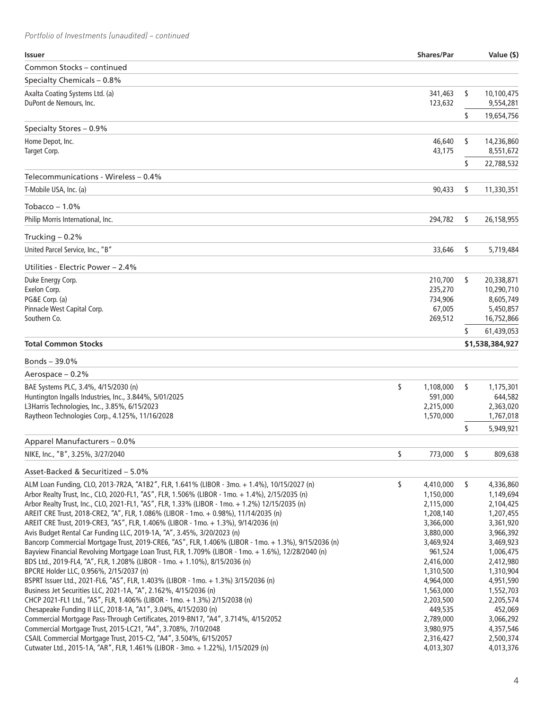| <b>Issuer</b>                                                                                        | Shares/Par      |    | Value (\$)      |
|------------------------------------------------------------------------------------------------------|-----------------|----|-----------------|
| Common Stocks – continued                                                                            |                 |    |                 |
| Specialty Chemicals - 0.8%                                                                           |                 |    |                 |
| Axalta Coating Systems Ltd. (a)                                                                      | 341,463         | \$ | 10,100,475      |
| DuPont de Nemours, Inc.                                                                              | 123,632         |    | 9,554,281       |
|                                                                                                      |                 | \$ | 19,654,756      |
| Specialty Stores - 0.9%                                                                              |                 |    |                 |
| Home Depot, Inc.                                                                                     | 46,640          | \$ | 14,236,860      |
| Target Corp.                                                                                         | 43,175          |    | 8,551,672       |
|                                                                                                      |                 | \$ | 22,788,532      |
| Telecommunications - Wireless – 0.4%                                                                 |                 |    |                 |
| T-Mobile USA, Inc. (a)                                                                               | 90,433          | \$ | 11,330,351      |
| Tobacco $-1.0\%$                                                                                     |                 |    |                 |
| Philip Morris International, Inc.                                                                    | 294,782         | \$ | 26,158,955      |
| Trucking $-0.2%$                                                                                     |                 |    |                 |
| United Parcel Service, Inc., "B"                                                                     | 33,646          | \$ | 5,719,484       |
| Utilities - Electric Power - 2.4%                                                                    |                 |    |                 |
| Duke Energy Corp.                                                                                    | 210,700         | \$ | 20,338,871      |
| Exelon Corp.                                                                                         | 235,270         |    | 10,290,710      |
| PG&E Corp. (a)                                                                                       | 734,906         |    | 8,605,749       |
| Pinnacle West Capital Corp.                                                                          | 67,005          |    | 5,450,857       |
| Southern Co.                                                                                         | 269,512         |    | 16,752,866      |
|                                                                                                      |                 | S  | 61,439,053      |
| <b>Total Common Stocks</b>                                                                           |                 |    | \$1,538,384,927 |
| Bonds $-39.0\%$                                                                                      |                 |    |                 |
| Aerospace - 0.2%                                                                                     |                 |    |                 |
| BAE Systems PLC, 3.4%, 4/15/2030 (n)                                                                 | \$<br>1,108,000 | \$ | 1,175,301       |
| Huntington Ingalls Industries, Inc., 3.844%, 5/01/2025                                               | 591,000         |    | 644,582         |
| L3Harris Technologies, Inc., 3.85%, 6/15/2023                                                        | 2,215,000       |    | 2,363,020       |
| Raytheon Technologies Corp., 4.125%, 11/16/2028                                                      | 1,570,000       |    | 1,767,018       |
|                                                                                                      |                 | \$ | 5,949,921       |
| Apparel Manufacturers - 0.0%                                                                         |                 |    |                 |
| NIKE, Inc., "B", 3.25%, 3/27/2040                                                                    | \$<br>773,000   | \$ | 809,638         |
| Asset-Backed & Securitized - 5.0%                                                                    |                 |    |                 |
| ALM Loan Funding, CLO, 2013-7R2A, "A1B2", FLR, 1.641% (LIBOR - 3mo. + 1.4%), 10/15/2027 (n)          | \$<br>4,410,000 | \$ | 4,336,860       |
| Arbor Realty Trust, Inc., CLO, 2020-FL1, "AS", FLR, 1.506% (LIBOR - 1mo. + 1.4%), 2/15/2035 (n)      | 1,150,000       |    | 1,149,694       |
| Arbor Realty Trust, Inc., CLO, 2021-FL1, "AS", FLR, 1.33% (LIBOR - 1mo. + 1.2%) 12/15/2035 (n)       | 2,115,000       |    | 2,104,425       |
| AREIT CRE Trust, 2018-CRE2, "A", FLR, 1.086% (LIBOR - 1mo. + 0.98%), 11/14/2035 (n)                  | 1,208,140       |    | 1,207,455       |
| AREIT CRE Trust, 2019-CRE3, "AS", FLR, 1.406% (LIBOR - 1mo. + 1.3%), 9/14/2036 (n)                   | 3,366,000       |    | 3,361,920       |
| Avis Budget Rental Car Funding LLC, 2019-1A, "A", 3.45%, 3/20/2023 (n)                               | 3,880,000       |    | 3,966,392       |
| Bancorp Commercial Mortgage Trust, 2019-CRE6, "AS", FLR, 1.406% (LIBOR - 1mo. + 1.3%), 9/15/2036 (n) | 3,469,924       |    | 3,469,923       |
| Bayview Financial Revolving Mortgage Loan Trust, FLR, 1.709% (LIBOR - 1mo. + 1.6%), 12/28/2040 (n)   | 961,524         |    | 1,006,475       |
| BDS Ltd., 2019-FL4, "A", FLR, 1.208% (LIBOR - 1mo. + 1.10%), 8/15/2036 (n)                           | 2,416,000       |    | 2,412,980       |
| BPCRE Holder LLC, 0.956%, 2/15/2037 (n)                                                              | 1,310,500       |    | 1,310,904       |
| BSPRT Issuer Ltd., 2021-FL6, "AS", FLR, 1.403% (LIBOR - 1mo. + 1.3%) 3/15/2036 (n)                   | 4,964,000       |    | 4,951,590       |
| Business Jet Securities LLC, 2021-1A, "A", 2.162%, 4/15/2036 (n)                                     | 1,563,000       |    | 1,552,703       |
| CHCP 2021-FL1 Ltd., "AS", FLR, 1.406% (LIBOR - 1mo. + 1.3%) 2/15/2038 (n)                            | 2,203,500       |    | 2,205,574       |
| Chesapeake Funding II LLC, 2018-1A, "A1", 3.04%, 4/15/2030 (n)                                       | 449,535         |    | 452,069         |
| Commercial Mortgage Pass-Through Certificates, 2019-BN17, "A4", 3.714%, 4/15/2052                    | 2,789,000       |    | 3,066,292       |
| Commercial Mortgage Trust, 2015-LC21, "A4", 3.708%, 7/10/2048                                        | 3,980,975       |    | 4,357,546       |
| CSAIL Commercial Mortgage Trust, 2015-C2, "A4", 3.504%, 6/15/2057                                    | 2,316,427       |    | 2,500,374       |
| Cutwater Ltd., 2015-1A, "AR", FLR, 1.461% (LIBOR - 3mo. + 1.22%), 1/15/2029 (n)                      | 4,013,307       |    | 4,013,376       |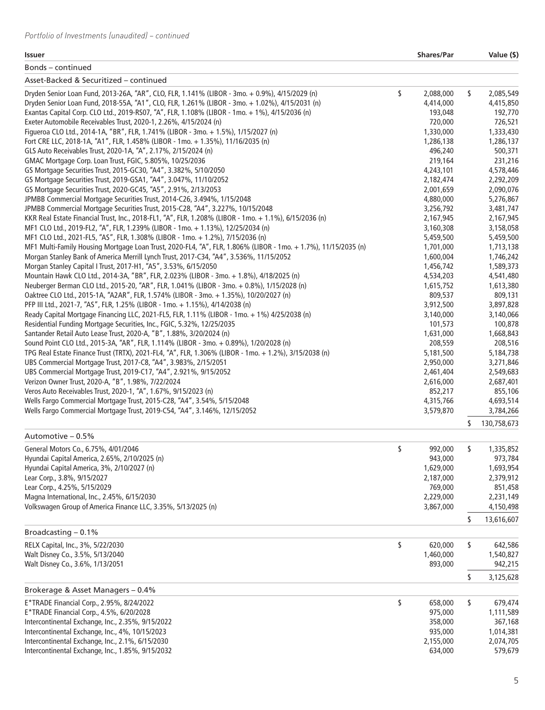#### **Issuer Shares/Par Value (\$)**

| Bonds – continued                                                                                                                                                     |                      |    |                      |
|-----------------------------------------------------------------------------------------------------------------------------------------------------------------------|----------------------|----|----------------------|
| Asset-Backed & Securitized – continued                                                                                                                                |                      |    |                      |
| Dryden Senior Loan Fund, 2013-26A, "AR", CLO, FLR, 1.141% (LIBOR - 3mo. + 0.9%), 4/15/2029 (n)                                                                        | \$<br>2,088,000      | \$ | 2,085,549            |
| Dryden Senior Loan Fund, 2018-55A, "A1", CLO, FLR, 1.261% (LIBOR - 3mo. + 1.02%), 4/15/2031 (n)                                                                       | 4,414,000            |    | 4,415,850            |
| Exantas Capital Corp. CLO Ltd., 2019-RS07, "A", FLR, 1.108% (LIBOR - 1mo. + 1%), 4/15/2036 (n)                                                                        | 193,048              |    | 192,770              |
| Exeter Automobile Receivables Trust, 2020-1, 2.26%, 4/15/2024 (n)                                                                                                     | 720,000              |    | 726,521              |
| Figueroa CLO Ltd., 2014-1A, "BR", FLR, 1.741% (LIBOR - 3mo. + 1.5%), 1/15/2027 (n)                                                                                    | 1,330,000            |    | 1,333,430            |
| Fort CRE LLC, 2018-1A, "A1", FLR, 1.458% (LIBOR - 1mo. + 1.35%), 11/16/2035 (n)                                                                                       | 1,286,138            |    | 1,286,137            |
| GLS Auto Receivables Trust, 2020-1A, "A", 2.17%, 2/15/2024 (n)                                                                                                        | 496,240              |    | 500,371              |
| GMAC Mortgage Corp. Loan Trust, FGIC, 5.805%, 10/25/2036                                                                                                              | 219,164              |    | 231,216              |
| GS Mortgage Securities Trust, 2015-GC30, "A4", 3.382%, 5/10/2050                                                                                                      | 4,243,101            |    | 4,578,446            |
| GS Mortgage Securities Trust, 2019-GSA1, "A4", 3.047%, 11/10/2052                                                                                                     | 2,182,474            |    | 2,292,209            |
| GS Mortgage Securities Trust, 2020-GC45, "A5", 2.91%, 2/13/2053                                                                                                       | 2,001,659            |    | 2,090,076            |
| JPMBB Commercial Mortgage Securities Trust, 2014-C26, 3.494%, 1/15/2048                                                                                               | 4,880,000            |    | 5,276,867            |
| JPMBB Commercial Mortgage Securities Trust, 2015-C28, "A4", 3.227%, 10/15/2048                                                                                        | 3,256,792            |    | 3,481,747            |
| KKR Real Estate Financial Trust, Inc., 2018-FL1, "A", FLR, 1.208% (LIBOR - 1mo. + 1.1%), 6/15/2036 (n)                                                                | 2,167,945            |    | 2,167,945            |
| MF1 CLO Ltd., 2019-FL2, "A", FLR, 1.239% (LIBOR - 1mo. + 1.13%), 12/25/2034 (n)                                                                                       | 3,160,308            |    | 3,158,058            |
| MF1 CLO Ltd., 2021-FL5, "AS", FLR, 1.308% (LIBOR - 1mo. + 1.2%), 7/15/2036 (n)                                                                                        | 5,459,500            |    | 5,459,500            |
| MF1 Multi-Family Housing Mortgage Loan Trust, 2020-FL4, "A", FLR, 1.806% (LIBOR - 1mo. + 1.7%), 11/15/2035 (n)                                                        | 1,701,000            |    | 1,713,138            |
| Morgan Stanley Bank of America Merrill Lynch Trust, 2017-C34, "A4", 3.536%, 11/15/2052                                                                                | 1,600,004            |    | 1,746,242            |
| Morgan Stanley Capital I Trust, 2017-H1, "A5", 3.53%, 6/15/2050                                                                                                       | 1,456,742            |    | 1,589,373            |
| Mountain Hawk CLO Ltd., 2014-3A, "BR", FLR, 2.023% (LIBOR - 3mo. + 1.8%), 4/18/2025 (n)                                                                               | 4,534,203            |    | 4,541,480            |
| Neuberger Berman CLO Ltd., 2015-20, "AR", FLR, 1.041% (LIBOR - 3mo. + 0.8%), 1/15/2028 (n)                                                                            | 1,615,752            |    | 1,613,380            |
| Oaktree CLO Ltd., 2015-1A, "A2AR", FLR, 1.574% (LIBOR - 3mo. + 1.35%), 10/20/2027 (n)<br>PFP III Ltd., 2021-7, "AS", FLR, 1.25% (LIBOR - 1mo. + 1.15%), 4/14/2038 (n) | 809,537<br>3,912,500 |    | 809,131<br>3,897,828 |
| Ready Capital Mortgage Financing LLC, 2021-FL5, FLR, 1.11% (LIBOR - 1mo. + 1%) 4/25/2038 (n)                                                                          | 3,140,000            |    | 3,140,066            |
| Residential Funding Mortgage Securities, Inc., FGIC, 5.32%, 12/25/2035                                                                                                | 101,573              |    | 100,878              |
| Santander Retail Auto Lease Trust, 2020-A, "B", 1.88%, 3/20/2024 (n)                                                                                                  | 1,631,000            |    | 1,668,843            |
| Sound Point CLO Ltd., 2015-3A, "AR", FLR, 1.114% (LIBOR - 3mo. + 0.89%), 1/20/2028 (n)                                                                                | 208,559              |    | 208,516              |
| TPG Real Estate Finance Trust (TRTX), 2021-FL4, "A", FLR, 1.306% (LIBOR - 1mo. + 1.2%), 3/15/2038 (n)                                                                 | 5,181,500            |    | 5,184,738            |
| UBS Commercial Mortgage Trust, 2017-C8, "A4", 3.983%, 2/15/2051                                                                                                       | 2,950,000            |    | 3,271,846            |
| UBS Commercial Mortgage Trust, 2019-C17, "A4", 2.921%, 9/15/2052                                                                                                      | 2,461,404            |    | 2,549,683            |
| Verizon Owner Trust, 2020-A, "B", 1.98%, 7/22/2024                                                                                                                    | 2,616,000            |    | 2,687,401            |
| Veros Auto Receivables Trust, 2020-1, "A", 1.67%, 9/15/2023 (n)                                                                                                       | 852,217              |    | 855,106              |
| Wells Fargo Commercial Mortgage Trust, 2015-C28, "A4", 3.54%, 5/15/2048                                                                                               | 4,315,766            |    | 4,693,514            |
| Wells Fargo Commercial Mortgage Trust, 2019-C54, "A4", 3.146%, 12/15/2052                                                                                             | 3,579,870            |    | 3,784,266            |
|                                                                                                                                                                       |                      | S  | 130,758,673          |
| Automotive - 0.5%                                                                                                                                                     |                      |    |                      |
| General Motors Co., 6.75%, 4/01/2046                                                                                                                                  | \$<br>992,000        | \$ | 1,335,852            |
| Hyundai Capital America, 2.65%, 2/10/2025 (n)                                                                                                                         | 943,000              |    | 973,784              |
| Hyundai Capital America, 3%, 2/10/2027 (n)                                                                                                                            | 1,629,000            |    | 1,693,954            |
| Lear Corp., 3.8%, 9/15/2027                                                                                                                                           | 2,187,000            |    | 2,379,912            |
| Lear Corp., 4.25%, 5/15/2029                                                                                                                                          | 769,000              |    | 851,458              |
| Magna International, Inc., 2.45%, 6/15/2030                                                                                                                           | 2,229,000            |    | 2,231,149            |
| Volkswagen Group of America Finance LLC, 3.35%, 5/13/2025 (n)                                                                                                         | 3,867,000            |    | 4,150,498            |
|                                                                                                                                                                       |                      | \$ | 13,616,607           |
| Broadcasting $-0.1%$                                                                                                                                                  |                      |    |                      |
| RELX Capital, Inc., 3%, 5/22/2030                                                                                                                                     | \$<br>620,000        | \$ | 642,586              |
| Walt Disney Co., 3.5%, 5/13/2040                                                                                                                                      | 1,460,000            |    | 1,540,827            |
| Walt Disney Co., 3.6%, 1/13/2051                                                                                                                                      | 893,000              |    | 942,215              |
|                                                                                                                                                                       |                      | \$ | 3,125,628            |
| Brokerage & Asset Managers - 0.4%                                                                                                                                     |                      |    |                      |
| E*TRADE Financial Corp., 2.95%, 8/24/2022                                                                                                                             | \$<br>658,000        | \$ | 679,474              |
| E*TRADE Financial Corp., 4.5%, 6/20/2028                                                                                                                              | 975,000              |    | 1,111,589            |
| Intercontinental Exchange, Inc., 2.35%, 9/15/2022                                                                                                                     | 358,000              |    | 367,168              |
| Intercontinental Exchange, Inc., 4%, 10/15/2023                                                                                                                       | 935,000              |    | 1,014,381            |
| Intercontinental Exchange, Inc., 2.1%, 6/15/2030                                                                                                                      | 2,155,000            |    | 2,074,705            |
| Intercontinental Exchange, Inc., 1.85%, 9/15/2032                                                                                                                     | 634,000              |    | 579,679              |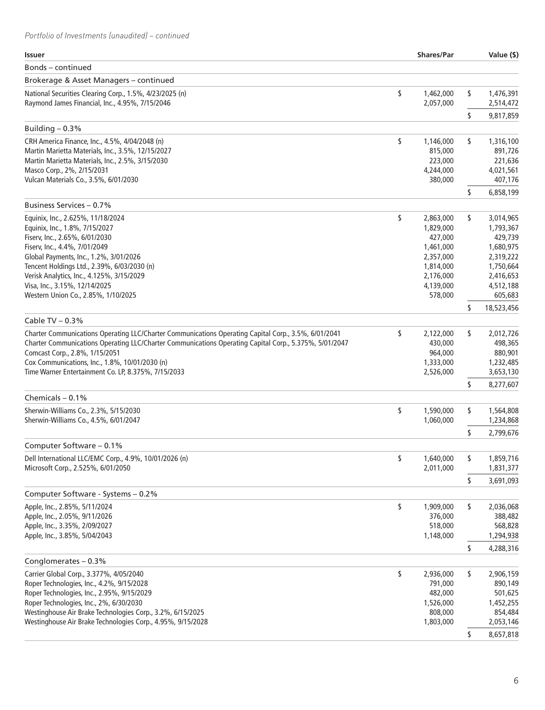| <b>Issuer</b>                                                                                                                            | <b>Shares/Par</b>            |    | Value (\$)             |
|------------------------------------------------------------------------------------------------------------------------------------------|------------------------------|----|------------------------|
| Bonds – continued                                                                                                                        |                              |    |                        |
| Brokerage & Asset Managers - continued                                                                                                   |                              |    |                        |
| National Securities Clearing Corp., 1.5%, 4/23/2025 (n)<br>Raymond James Financial, Inc., 4.95%, 7/15/2046                               | \$<br>1,462,000<br>2,057,000 | \$ | 1,476,391<br>2,514,472 |
|                                                                                                                                          |                              | \$ | 9,817,859              |
| Building $-0.3%$                                                                                                                         |                              |    |                        |
| CRH America Finance, Inc., 4.5%, 4/04/2048 (n)                                                                                           | \$<br>1,146,000              | \$ | 1,316,100              |
| Martin Marietta Materials, Inc., 3.5%, 12/15/2027                                                                                        | 815,000                      |    | 891,726                |
| Martin Marietta Materials, Inc., 2.5%, 3/15/2030                                                                                         | 223,000                      |    | 221,636                |
| Masco Corp., 2%, 2/15/2031                                                                                                               | 4,244,000                    |    | 4,021,561              |
| Vulcan Materials Co., 3.5%, 6/01/2030                                                                                                    | 380,000                      |    | 407,176                |
|                                                                                                                                          |                              | \$ | 6,858,199              |
| Business Services - 0.7%                                                                                                                 |                              |    |                        |
| Equinix, Inc., 2.625%, 11/18/2024<br>Equinix, Inc., 1.8%, 7/15/2027                                                                      | \$<br>2,863,000<br>1,829,000 | \$ | 3,014,965<br>1,793,367 |
| Fiserv, Inc., 2.65%, 6/01/2030                                                                                                           | 427,000                      |    | 429,739                |
| Fiserv, Inc., 4.4%, 7/01/2049                                                                                                            | 1,461,000                    |    | 1,680,975              |
| Global Payments, Inc., 1.2%, 3/01/2026                                                                                                   | 2,357,000                    |    | 2,319,222              |
| Tencent Holdings Ltd., 2.39%, 6/03/2030 (n)                                                                                              | 1,814,000                    |    | 1,750,664              |
| Verisk Analytics, Inc., 4.125%, 3/15/2029                                                                                                | 2,176,000                    |    | 2,416,653              |
| Visa, Inc., 3.15%, 12/14/2025                                                                                                            | 4,139,000                    |    | 4,512,188              |
| Western Union Co., 2.85%, 1/10/2025                                                                                                      | 578,000                      |    | 605,683                |
|                                                                                                                                          |                              | s  | 18,523,456             |
| Cable TV $-0.3%$                                                                                                                         |                              |    |                        |
| Charter Communications Operating LLC/Charter Communications Operating Capital Corp., 3.5%, 6/01/2041                                     | \$<br>2,122,000              | \$ | 2,012,726              |
| Charter Communications Operating LLC/Charter Communications Operating Capital Corp., 5.375%, 5/01/2047<br>Comcast Corp., 2.8%, 1/15/2051 | 430,000<br>964,000           |    | 498,365<br>880,901     |
| Cox Communications, Inc., 1.8%, 10/01/2030 (n)                                                                                           | 1,333,000                    |    | 1,232,485              |
| Time Warner Entertainment Co. LP, 8.375%, 7/15/2033                                                                                      | 2,526,000                    |    | 3,653,130              |
|                                                                                                                                          |                              | s  | 8,277,607              |
| Chemicals $-0.1%$                                                                                                                        |                              |    |                        |
| Sherwin-Williams Co., 2.3%, 5/15/2030                                                                                                    | \$<br>1,590,000              | \$ | 1,564,808              |
| Sherwin-Williams Co., 4.5%, 6/01/2047                                                                                                    | 1,060,000                    |    | 1,234,868              |
|                                                                                                                                          |                              | \$ | 2,799,676              |
| Computer Software - 0.1%                                                                                                                 |                              |    |                        |
| Dell International LLC/EMC Corp., 4.9%, 10/01/2026 (n)                                                                                   | \$<br>1,640,000              | ٢  | 1,859,716              |
| Microsoft Corp., 2.525%, 6/01/2050                                                                                                       | 2,011,000                    |    | 1,831,377              |
| Computer Software - Systems - 0.2%                                                                                                       |                              | \$ | 3,691,093              |
| Apple, Inc., 2.85%, 5/11/2024                                                                                                            | \$<br>1,909,000              | s  | 2,036,068              |
| Apple, Inc., 2.05%, 9/11/2026                                                                                                            | 376,000                      |    | 388,482                |
| Apple, Inc., 3.35%, 2/09/2027                                                                                                            | 518,000                      |    | 568,828                |
| Apple, Inc., 3.85%, 5/04/2043                                                                                                            | 1,148,000                    |    | 1,294,938              |
|                                                                                                                                          |                              | \$ | 4,288,316              |
| Conglomerates - 0.3%                                                                                                                     |                              |    |                        |
| Carrier Global Corp., 3.377%, 4/05/2040                                                                                                  | \$<br>2,936,000              | \$ | 2,906,159              |
| Roper Technologies, Inc., 4.2%, 9/15/2028                                                                                                | 791,000                      |    | 890,149                |
| Roper Technologies, Inc., 2.95%, 9/15/2029                                                                                               | 482,000                      |    | 501,625                |
| Roper Technologies, Inc., 2%, 6/30/2030                                                                                                  | 1,526,000                    |    | 1,452,255              |
| Westinghouse Air Brake Technologies Corp., 3.2%, 6/15/2025                                                                               | 808,000                      |    | 854,484                |
| Westinghouse Air Brake Technologies Corp., 4.95%, 9/15/2028                                                                              | 1,803,000                    |    | 2,053,146              |
|                                                                                                                                          |                              | \$ | 8,657,818              |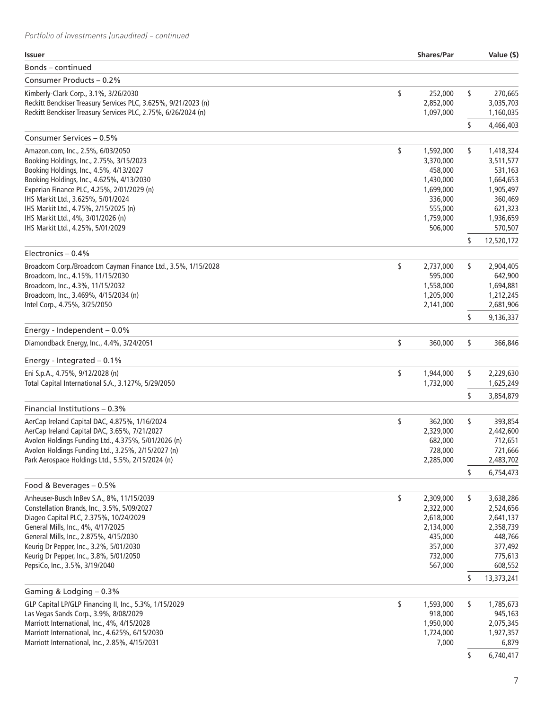| Issuer                                                                                                  | <b>Shares/Par</b>          | Value (\$)                 |
|---------------------------------------------------------------------------------------------------------|----------------------------|----------------------------|
| Bonds – continued                                                                                       |                            |                            |
| Consumer Products - 0.2%                                                                                |                            |                            |
| Kimberly-Clark Corp., 3.1%, 3/26/2030<br>Reckitt Benckiser Treasury Services PLC, 3.625%, 9/21/2023 (n) | \$<br>252,000<br>2,852,000 | \$<br>270,665<br>3,035,703 |
| Reckitt Benckiser Treasury Services PLC, 2.75%, 6/26/2024 (n)                                           | 1,097,000                  | 1,160,035                  |
| Consumer Services - 0.5%                                                                                |                            | \$<br>4,466,403            |
| Amazon.com, Inc., 2.5%, 6/03/2050                                                                       | \$<br>1,592,000            | \$<br>1,418,324            |
| Booking Holdings, Inc., 2.75%, 3/15/2023                                                                | 3,370,000                  | 3,511,577                  |
| Booking Holdings, Inc., 4.5%, 4/13/2027                                                                 | 458,000                    | 531,163                    |
| Booking Holdings, Inc., 4.625%, 4/13/2030                                                               | 1,430,000                  | 1,664,653                  |
| Experian Finance PLC, 4.25%, 2/01/2029 (n)                                                              | 1,699,000                  | 1,905,497                  |
| IHS Markit Ltd., 3.625%, 5/01/2024                                                                      | 336,000                    | 360,469                    |
| IHS Markit Ltd., 4.75%, 2/15/2025 (n)                                                                   | 555,000                    | 621,323                    |
| IHS Markit Ltd., 4%, 3/01/2026 (n)<br>IHS Markit Ltd., 4.25%, 5/01/2029                                 | 1,759,000<br>506,000       | 1,936,659<br>570,507       |
|                                                                                                         |                            | \$<br>12,520,172           |
| Electronics $-0.4%$                                                                                     |                            |                            |
| Broadcom Corp./Broadcom Cayman Finance Ltd., 3.5%, 1/15/2028                                            | \$<br>2,737,000            | \$<br>2,904,405            |
| Broadcom, Inc., 4.15%, 11/15/2030                                                                       | 595,000                    | 642,900                    |
| Broadcom, Inc., 4.3%, 11/15/2032                                                                        | 1,558,000                  | 1,694,881                  |
| Broadcom, Inc., 3.469%, 4/15/2034 (n)                                                                   | 1,205,000                  | 1,212,245                  |
| Intel Corp., 4.75%, 3/25/2050                                                                           | 2,141,000                  | 2,681,906                  |
| Energy - Independent - 0.0%                                                                             |                            | \$<br>9,136,337            |
| Diamondback Energy, Inc., 4.4%, 3/24/2051                                                               | \$<br>360,000              | \$<br>366,846              |
| Energy - Integrated $-0.1\%$                                                                            |                            |                            |
| Eni S.p.A., 4.75%, 9/12/2028 (n)                                                                        | \$<br>1,944,000            | \$<br>2,229,630            |
| Total Capital International S.A., 3.127%, 5/29/2050                                                     | 1,732,000                  | 1,625,249                  |
|                                                                                                         |                            | \$<br>3,854,879            |
| Financial Institutions - 0.3%                                                                           |                            |                            |
| AerCap Ireland Capital DAC, 4.875%, 1/16/2024                                                           | \$<br>362,000              | \$<br>393,854              |
| AerCap Ireland Capital DAC, 3.65%, 7/21/2027<br>Avolon Holdings Funding Ltd., 4.375%, 5/01/2026 (n)     | 2,329,000                  | 2,442,600                  |
| Avolon Holdings Funding Ltd., 3.25%, 2/15/2027 (n)                                                      | 682,000<br>728,000         | 712,651<br>721,666         |
| Park Aerospace Holdings Ltd., 5.5%, 2/15/2024 (n)                                                       | 2,285,000                  | 2,483,702                  |
|                                                                                                         |                            | \$<br>6,754,473            |
| Food & Beverages - 0.5%                                                                                 |                            |                            |
| Anheuser-Busch InBev S.A., 8%, 11/15/2039                                                               | \$<br>2,309,000            | \$<br>3,638,286            |
| Constellation Brands, Inc., 3.5%, 5/09/2027                                                             | 2,322,000                  | 2,524,656                  |
| Diageo Capital PLC, 2.375%, 10/24/2029                                                                  | 2,618,000                  | 2,641,137                  |
| General Mills, Inc., 4%, 4/17/2025                                                                      | 2,134,000                  | 2,358,739                  |
| General Mills, Inc., 2.875%, 4/15/2030<br>Keurig Dr Pepper, Inc., 3.2%, 5/01/2030                       | 435,000<br>357,000         | 448,766<br>377,492         |
| Keurig Dr Pepper, Inc., 3.8%, 5/01/2050                                                                 | 732,000                    | 775,613                    |
| PepsiCo, Inc., 3.5%, 3/19/2040                                                                          | 567,000                    | 608,552                    |
|                                                                                                         |                            | \$<br>13,373,241           |
| Gaming & Lodging - 0.3%                                                                                 |                            |                            |
| GLP Capital LP/GLP Financing II, Inc., 5.3%, 1/15/2029                                                  | \$<br>1,593,000            | \$<br>1,785,673            |
| Las Vegas Sands Corp., 3.9%, 8/08/2029                                                                  | 918,000                    | 945,163                    |
| Marriott International, Inc., 4%, 4/15/2028                                                             | 1,950,000                  | 2,075,345                  |
| Marriott International, Inc., 4.625%, 6/15/2030                                                         | 1,724,000                  | 1,927,357                  |
| Marriott International, Inc., 2.85%, 4/15/2031                                                          | 7,000                      | 6,879                      |
|                                                                                                         |                            | \$<br>6,740,417            |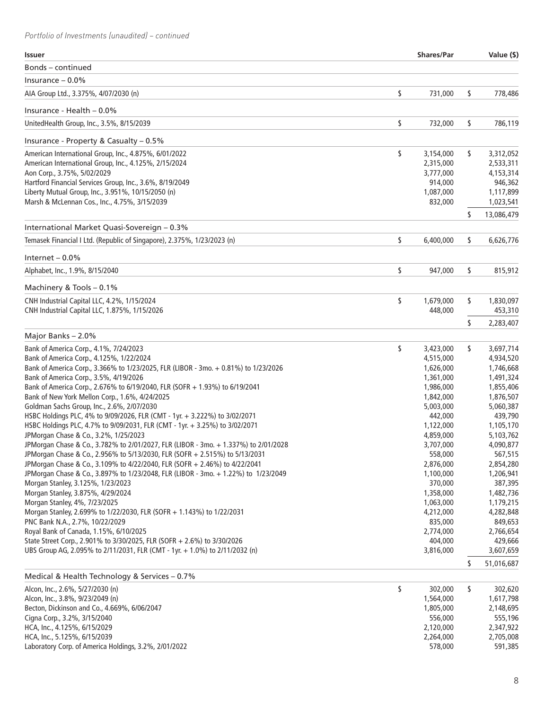| Bonds - continued<br>Insurance $-0.0\%$<br>\$<br>\$<br>731,000<br>AIA Group Ltd., 3.375%, 4/07/2030 (n)<br>778,486<br>Insurance - Health - 0.0%<br>\$<br>\$<br>UnitedHealth Group, Inc., 3.5%, 8/15/2039<br>732,000<br>786,119<br>Insurance - Property & Casualty - 0.5%<br>\$<br>American International Group, Inc., 4.875%, 6/01/2022<br>\$<br>3,154,000<br>3,312,052<br>American International Group, Inc., 4.125%, 2/15/2024<br>2,315,000<br>2,533,311<br>Aon Corp., 3.75%, 5/02/2029<br>3,777,000<br>4,153,314<br>Hartford Financial Services Group, Inc., 3.6%, 8/19/2049<br>914,000<br>946,362<br>Liberty Mutual Group, Inc., 3.951%, 10/15/2050 (n)<br>1,087,000<br>1,117,899<br>Marsh & McLennan Cos., Inc., 4.75%, 3/15/2039<br>1,023,541<br>832,000<br>\$<br>13,086,479<br>International Market Quasi-Sovereign - 0.3%<br>\$<br>Temasek Financial I Ltd. (Republic of Singapore), 2.375%, 1/23/2023 (n)<br>6,400,000<br>\$<br>6,626,776<br>Internet $-0.0\%$<br>\$<br>\$<br>Alphabet, Inc., 1.9%, 8/15/2040<br>947,000<br>815,912<br>Machinery & Tools - 0.1%<br>\$<br>CNH Industrial Capital LLC, 4.2%, 1/15/2024<br>1,679,000<br>\$<br>1,830,097<br>CNH Industrial Capital LLC, 1.875%, 1/15/2026<br>448,000<br>453,310<br>\$<br>2,283,407<br>Major Banks - 2.0%<br>\$<br>Bank of America Corp., 4.1%, 7/24/2023<br>\$<br>3,697,714<br>3,423,000<br>Bank of America Corp., 4.125%, 1/22/2024<br>4,515,000<br>4,934,520<br>Bank of America Corp., 3.366% to 1/23/2025, FLR (LIBOR - 3mo. + 0.81%) to 1/23/2026<br>1,626,000<br>1,746,668<br>Bank of America Corp., 3.5%, 4/19/2026<br>1,361,000<br>1,491,324<br>Bank of America Corp., 2.676% to 6/19/2040, FLR (SOFR + 1.93%) to 6/19/2041<br>1,986,000<br>1,855,406<br>Bank of New York Mellon Corp., 1.6%, 4/24/2025<br>1,842,000<br>1,876,507<br>Goldman Sachs Group, Inc., 2.6%, 2/07/2030<br>5,003,000<br>5,060,387<br>HSBC Holdings PLC, 4% to 9/09/2026, FLR (CMT - 1yr. + 3.222%) to 3/02/2071<br>439,790<br>442,000<br>HSBC Holdings PLC, 4.7% to 9/09/2031, FLR (CMT - 1yr. + 3.25%) to 3/02/2071<br>1,122,000<br>1,105,170<br>JPMorgan Chase & Co., 3.2%, 1/25/2023<br>4,859,000<br>5,103,762<br>JPMorgan Chase & Co., 3.782% to 2/01/2027, FLR (LIBOR - 3mo. + 1.337%) to 2/01/2028<br>3,707,000<br>4,090,877<br>JPMorgan Chase & Co., 2.956% to 5/13/2030, FLR (SOFR + 2.515%) to 5/13/2031<br>558,000<br>567,515<br>JPMorgan Chase & Co., 3.109% to 4/22/2040, FLR (SOFR + 2.46%) to 4/22/2041<br>2,876,000<br>2,854,280<br>JPMorgan Chase & Co., 3.897% to 1/23/2048, FLR (LIBOR - 3mo. + 1.22%) to 1/23/2049<br>1,100,000<br>1,206,941<br>Morgan Stanley, 3.125%, 1/23/2023<br>370,000<br>387,395<br>Morgan Stanley, 3.875%, 4/29/2024<br>1,358,000<br>1,482,736<br>Morgan Stanley, 4%, 7/23/2025<br>1,063,000<br>1,179,215<br>Morgan Stanley, 2.699% to 1/22/2030, FLR (SOFR + 1.143%) to 1/22/2031<br>4,212,000<br>4,282,848<br>PNC Bank N.A., 2.7%, 10/22/2029<br>835,000<br>849,653<br>Royal Bank of Canada, 1.15%, 6/10/2025<br>2,774,000<br>2,766,654<br>State Street Corp., 2.901% to 3/30/2025, FLR (SOFR + 2.6%) to 3/30/2026<br>404,000<br>429,666<br>UBS Group AG, 2.095% to 2/11/2031, FLR (CMT - 1yr. + 1.0%) to 2/11/2032 (n)<br>3,816,000<br>3,607,659<br>\$<br>51,016,687<br>Medical & Health Technology & Services - 0.7%<br>Alcon, Inc., 2.6%, 5/27/2030 (n)<br>\$<br>\$<br>302,000<br>302,620<br>1,564,000<br>Alcon, Inc., 3.8%, 9/23/2049 (n)<br>1,617,798<br>Becton, Dickinson and Co., 4.669%, 6/06/2047<br>1,805,000<br>2,148,695<br>556,000<br>Cigna Corp., 3.2%, 3/15/2040<br>555,196<br>HCA, Inc., 4.125%, 6/15/2029<br>2,120,000<br>2,347,922<br>HCA, Inc., 5.125%, 6/15/2039<br>2,264,000<br>2,705,008<br>Laboratory Corp. of America Holdings, 3.2%, 2/01/2022<br>578,000 | <b>Issuer</b> | <b>Shares/Par</b> | Value (\$) |
|-------------------------------------------------------------------------------------------------------------------------------------------------------------------------------------------------------------------------------------------------------------------------------------------------------------------------------------------------------------------------------------------------------------------------------------------------------------------------------------------------------------------------------------------------------------------------------------------------------------------------------------------------------------------------------------------------------------------------------------------------------------------------------------------------------------------------------------------------------------------------------------------------------------------------------------------------------------------------------------------------------------------------------------------------------------------------------------------------------------------------------------------------------------------------------------------------------------------------------------------------------------------------------------------------------------------------------------------------------------------------------------------------------------------------------------------------------------------------------------------------------------------------------------------------------------------------------------------------------------------------------------------------------------------------------------------------------------------------------------------------------------------------------------------------------------------------------------------------------------------------------------------------------------------------------------------------------------------------------------------------------------------------------------------------------------------------------------------------------------------------------------------------------------------------------------------------------------------------------------------------------------------------------------------------------------------------------------------------------------------------------------------------------------------------------------------------------------------------------------------------------------------------------------------------------------------------------------------------------------------------------------------------------------------------------------------------------------------------------------------------------------------------------------------------------------------------------------------------------------------------------------------------------------------------------------------------------------------------------------------------------------------------------------------------------------------------------------------------------------------------------------------------------------------------------------------------------------------------------------------------------------------------------------------------------------------------------------------------------------------------------------------------------------------------------------------------------------------------------------------------------------------------------------------------------------------------------------------------------------------------------------------------------------------------------------------------------------------------------------------------------------------------------------|---------------|-------------------|------------|
|                                                                                                                                                                                                                                                                                                                                                                                                                                                                                                                                                                                                                                                                                                                                                                                                                                                                                                                                                                                                                                                                                                                                                                                                                                                                                                                                                                                                                                                                                                                                                                                                                                                                                                                                                                                                                                                                                                                                                                                                                                                                                                                                                                                                                                                                                                                                                                                                                                                                                                                                                                                                                                                                                                                                                                                                                                                                                                                                                                                                                                                                                                                                                                                                                                                                                                                                                                                                                                                                                                                                                                                                                                                                                                                                                                                     |               |                   |            |
|                                                                                                                                                                                                                                                                                                                                                                                                                                                                                                                                                                                                                                                                                                                                                                                                                                                                                                                                                                                                                                                                                                                                                                                                                                                                                                                                                                                                                                                                                                                                                                                                                                                                                                                                                                                                                                                                                                                                                                                                                                                                                                                                                                                                                                                                                                                                                                                                                                                                                                                                                                                                                                                                                                                                                                                                                                                                                                                                                                                                                                                                                                                                                                                                                                                                                                                                                                                                                                                                                                                                                                                                                                                                                                                                                                                     |               |                   |            |
|                                                                                                                                                                                                                                                                                                                                                                                                                                                                                                                                                                                                                                                                                                                                                                                                                                                                                                                                                                                                                                                                                                                                                                                                                                                                                                                                                                                                                                                                                                                                                                                                                                                                                                                                                                                                                                                                                                                                                                                                                                                                                                                                                                                                                                                                                                                                                                                                                                                                                                                                                                                                                                                                                                                                                                                                                                                                                                                                                                                                                                                                                                                                                                                                                                                                                                                                                                                                                                                                                                                                                                                                                                                                                                                                                                                     |               |                   |            |
|                                                                                                                                                                                                                                                                                                                                                                                                                                                                                                                                                                                                                                                                                                                                                                                                                                                                                                                                                                                                                                                                                                                                                                                                                                                                                                                                                                                                                                                                                                                                                                                                                                                                                                                                                                                                                                                                                                                                                                                                                                                                                                                                                                                                                                                                                                                                                                                                                                                                                                                                                                                                                                                                                                                                                                                                                                                                                                                                                                                                                                                                                                                                                                                                                                                                                                                                                                                                                                                                                                                                                                                                                                                                                                                                                                                     |               |                   |            |
|                                                                                                                                                                                                                                                                                                                                                                                                                                                                                                                                                                                                                                                                                                                                                                                                                                                                                                                                                                                                                                                                                                                                                                                                                                                                                                                                                                                                                                                                                                                                                                                                                                                                                                                                                                                                                                                                                                                                                                                                                                                                                                                                                                                                                                                                                                                                                                                                                                                                                                                                                                                                                                                                                                                                                                                                                                                                                                                                                                                                                                                                                                                                                                                                                                                                                                                                                                                                                                                                                                                                                                                                                                                                                                                                                                                     |               |                   |            |
|                                                                                                                                                                                                                                                                                                                                                                                                                                                                                                                                                                                                                                                                                                                                                                                                                                                                                                                                                                                                                                                                                                                                                                                                                                                                                                                                                                                                                                                                                                                                                                                                                                                                                                                                                                                                                                                                                                                                                                                                                                                                                                                                                                                                                                                                                                                                                                                                                                                                                                                                                                                                                                                                                                                                                                                                                                                                                                                                                                                                                                                                                                                                                                                                                                                                                                                                                                                                                                                                                                                                                                                                                                                                                                                                                                                     |               |                   |            |
|                                                                                                                                                                                                                                                                                                                                                                                                                                                                                                                                                                                                                                                                                                                                                                                                                                                                                                                                                                                                                                                                                                                                                                                                                                                                                                                                                                                                                                                                                                                                                                                                                                                                                                                                                                                                                                                                                                                                                                                                                                                                                                                                                                                                                                                                                                                                                                                                                                                                                                                                                                                                                                                                                                                                                                                                                                                                                                                                                                                                                                                                                                                                                                                                                                                                                                                                                                                                                                                                                                                                                                                                                                                                                                                                                                                     |               |                   |            |
|                                                                                                                                                                                                                                                                                                                                                                                                                                                                                                                                                                                                                                                                                                                                                                                                                                                                                                                                                                                                                                                                                                                                                                                                                                                                                                                                                                                                                                                                                                                                                                                                                                                                                                                                                                                                                                                                                                                                                                                                                                                                                                                                                                                                                                                                                                                                                                                                                                                                                                                                                                                                                                                                                                                                                                                                                                                                                                                                                                                                                                                                                                                                                                                                                                                                                                                                                                                                                                                                                                                                                                                                                                                                                                                                                                                     |               |                   |            |
|                                                                                                                                                                                                                                                                                                                                                                                                                                                                                                                                                                                                                                                                                                                                                                                                                                                                                                                                                                                                                                                                                                                                                                                                                                                                                                                                                                                                                                                                                                                                                                                                                                                                                                                                                                                                                                                                                                                                                                                                                                                                                                                                                                                                                                                                                                                                                                                                                                                                                                                                                                                                                                                                                                                                                                                                                                                                                                                                                                                                                                                                                                                                                                                                                                                                                                                                                                                                                                                                                                                                                                                                                                                                                                                                                                                     |               |                   |            |
|                                                                                                                                                                                                                                                                                                                                                                                                                                                                                                                                                                                                                                                                                                                                                                                                                                                                                                                                                                                                                                                                                                                                                                                                                                                                                                                                                                                                                                                                                                                                                                                                                                                                                                                                                                                                                                                                                                                                                                                                                                                                                                                                                                                                                                                                                                                                                                                                                                                                                                                                                                                                                                                                                                                                                                                                                                                                                                                                                                                                                                                                                                                                                                                                                                                                                                                                                                                                                                                                                                                                                                                                                                                                                                                                                                                     |               |                   |            |
|                                                                                                                                                                                                                                                                                                                                                                                                                                                                                                                                                                                                                                                                                                                                                                                                                                                                                                                                                                                                                                                                                                                                                                                                                                                                                                                                                                                                                                                                                                                                                                                                                                                                                                                                                                                                                                                                                                                                                                                                                                                                                                                                                                                                                                                                                                                                                                                                                                                                                                                                                                                                                                                                                                                                                                                                                                                                                                                                                                                                                                                                                                                                                                                                                                                                                                                                                                                                                                                                                                                                                                                                                                                                                                                                                                                     |               |                   |            |
|                                                                                                                                                                                                                                                                                                                                                                                                                                                                                                                                                                                                                                                                                                                                                                                                                                                                                                                                                                                                                                                                                                                                                                                                                                                                                                                                                                                                                                                                                                                                                                                                                                                                                                                                                                                                                                                                                                                                                                                                                                                                                                                                                                                                                                                                                                                                                                                                                                                                                                                                                                                                                                                                                                                                                                                                                                                                                                                                                                                                                                                                                                                                                                                                                                                                                                                                                                                                                                                                                                                                                                                                                                                                                                                                                                                     |               |                   |            |
|                                                                                                                                                                                                                                                                                                                                                                                                                                                                                                                                                                                                                                                                                                                                                                                                                                                                                                                                                                                                                                                                                                                                                                                                                                                                                                                                                                                                                                                                                                                                                                                                                                                                                                                                                                                                                                                                                                                                                                                                                                                                                                                                                                                                                                                                                                                                                                                                                                                                                                                                                                                                                                                                                                                                                                                                                                                                                                                                                                                                                                                                                                                                                                                                                                                                                                                                                                                                                                                                                                                                                                                                                                                                                                                                                                                     |               |                   |            |
|                                                                                                                                                                                                                                                                                                                                                                                                                                                                                                                                                                                                                                                                                                                                                                                                                                                                                                                                                                                                                                                                                                                                                                                                                                                                                                                                                                                                                                                                                                                                                                                                                                                                                                                                                                                                                                                                                                                                                                                                                                                                                                                                                                                                                                                                                                                                                                                                                                                                                                                                                                                                                                                                                                                                                                                                                                                                                                                                                                                                                                                                                                                                                                                                                                                                                                                                                                                                                                                                                                                                                                                                                                                                                                                                                                                     |               |                   |            |
|                                                                                                                                                                                                                                                                                                                                                                                                                                                                                                                                                                                                                                                                                                                                                                                                                                                                                                                                                                                                                                                                                                                                                                                                                                                                                                                                                                                                                                                                                                                                                                                                                                                                                                                                                                                                                                                                                                                                                                                                                                                                                                                                                                                                                                                                                                                                                                                                                                                                                                                                                                                                                                                                                                                                                                                                                                                                                                                                                                                                                                                                                                                                                                                                                                                                                                                                                                                                                                                                                                                                                                                                                                                                                                                                                                                     |               |                   |            |
|                                                                                                                                                                                                                                                                                                                                                                                                                                                                                                                                                                                                                                                                                                                                                                                                                                                                                                                                                                                                                                                                                                                                                                                                                                                                                                                                                                                                                                                                                                                                                                                                                                                                                                                                                                                                                                                                                                                                                                                                                                                                                                                                                                                                                                                                                                                                                                                                                                                                                                                                                                                                                                                                                                                                                                                                                                                                                                                                                                                                                                                                                                                                                                                                                                                                                                                                                                                                                                                                                                                                                                                                                                                                                                                                                                                     |               |                   |            |
| 591,385                                                                                                                                                                                                                                                                                                                                                                                                                                                                                                                                                                                                                                                                                                                                                                                                                                                                                                                                                                                                                                                                                                                                                                                                                                                                                                                                                                                                                                                                                                                                                                                                                                                                                                                                                                                                                                                                                                                                                                                                                                                                                                                                                                                                                                                                                                                                                                                                                                                                                                                                                                                                                                                                                                                                                                                                                                                                                                                                                                                                                                                                                                                                                                                                                                                                                                                                                                                                                                                                                                                                                                                                                                                                                                                                                                             |               |                   |            |
|                                                                                                                                                                                                                                                                                                                                                                                                                                                                                                                                                                                                                                                                                                                                                                                                                                                                                                                                                                                                                                                                                                                                                                                                                                                                                                                                                                                                                                                                                                                                                                                                                                                                                                                                                                                                                                                                                                                                                                                                                                                                                                                                                                                                                                                                                                                                                                                                                                                                                                                                                                                                                                                                                                                                                                                                                                                                                                                                                                                                                                                                                                                                                                                                                                                                                                                                                                                                                                                                                                                                                                                                                                                                                                                                                                                     |               |                   |            |
|                                                                                                                                                                                                                                                                                                                                                                                                                                                                                                                                                                                                                                                                                                                                                                                                                                                                                                                                                                                                                                                                                                                                                                                                                                                                                                                                                                                                                                                                                                                                                                                                                                                                                                                                                                                                                                                                                                                                                                                                                                                                                                                                                                                                                                                                                                                                                                                                                                                                                                                                                                                                                                                                                                                                                                                                                                                                                                                                                                                                                                                                                                                                                                                                                                                                                                                                                                                                                                                                                                                                                                                                                                                                                                                                                                                     |               |                   |            |
|                                                                                                                                                                                                                                                                                                                                                                                                                                                                                                                                                                                                                                                                                                                                                                                                                                                                                                                                                                                                                                                                                                                                                                                                                                                                                                                                                                                                                                                                                                                                                                                                                                                                                                                                                                                                                                                                                                                                                                                                                                                                                                                                                                                                                                                                                                                                                                                                                                                                                                                                                                                                                                                                                                                                                                                                                                                                                                                                                                                                                                                                                                                                                                                                                                                                                                                                                                                                                                                                                                                                                                                                                                                                                                                                                                                     |               |                   |            |
|                                                                                                                                                                                                                                                                                                                                                                                                                                                                                                                                                                                                                                                                                                                                                                                                                                                                                                                                                                                                                                                                                                                                                                                                                                                                                                                                                                                                                                                                                                                                                                                                                                                                                                                                                                                                                                                                                                                                                                                                                                                                                                                                                                                                                                                                                                                                                                                                                                                                                                                                                                                                                                                                                                                                                                                                                                                                                                                                                                                                                                                                                                                                                                                                                                                                                                                                                                                                                                                                                                                                                                                                                                                                                                                                                                                     |               |                   |            |
|                                                                                                                                                                                                                                                                                                                                                                                                                                                                                                                                                                                                                                                                                                                                                                                                                                                                                                                                                                                                                                                                                                                                                                                                                                                                                                                                                                                                                                                                                                                                                                                                                                                                                                                                                                                                                                                                                                                                                                                                                                                                                                                                                                                                                                                                                                                                                                                                                                                                                                                                                                                                                                                                                                                                                                                                                                                                                                                                                                                                                                                                                                                                                                                                                                                                                                                                                                                                                                                                                                                                                                                                                                                                                                                                                                                     |               |                   |            |
|                                                                                                                                                                                                                                                                                                                                                                                                                                                                                                                                                                                                                                                                                                                                                                                                                                                                                                                                                                                                                                                                                                                                                                                                                                                                                                                                                                                                                                                                                                                                                                                                                                                                                                                                                                                                                                                                                                                                                                                                                                                                                                                                                                                                                                                                                                                                                                                                                                                                                                                                                                                                                                                                                                                                                                                                                                                                                                                                                                                                                                                                                                                                                                                                                                                                                                                                                                                                                                                                                                                                                                                                                                                                                                                                                                                     |               |                   |            |
|                                                                                                                                                                                                                                                                                                                                                                                                                                                                                                                                                                                                                                                                                                                                                                                                                                                                                                                                                                                                                                                                                                                                                                                                                                                                                                                                                                                                                                                                                                                                                                                                                                                                                                                                                                                                                                                                                                                                                                                                                                                                                                                                                                                                                                                                                                                                                                                                                                                                                                                                                                                                                                                                                                                                                                                                                                                                                                                                                                                                                                                                                                                                                                                                                                                                                                                                                                                                                                                                                                                                                                                                                                                                                                                                                                                     |               |                   |            |
|                                                                                                                                                                                                                                                                                                                                                                                                                                                                                                                                                                                                                                                                                                                                                                                                                                                                                                                                                                                                                                                                                                                                                                                                                                                                                                                                                                                                                                                                                                                                                                                                                                                                                                                                                                                                                                                                                                                                                                                                                                                                                                                                                                                                                                                                                                                                                                                                                                                                                                                                                                                                                                                                                                                                                                                                                                                                                                                                                                                                                                                                                                                                                                                                                                                                                                                                                                                                                                                                                                                                                                                                                                                                                                                                                                                     |               |                   |            |
|                                                                                                                                                                                                                                                                                                                                                                                                                                                                                                                                                                                                                                                                                                                                                                                                                                                                                                                                                                                                                                                                                                                                                                                                                                                                                                                                                                                                                                                                                                                                                                                                                                                                                                                                                                                                                                                                                                                                                                                                                                                                                                                                                                                                                                                                                                                                                                                                                                                                                                                                                                                                                                                                                                                                                                                                                                                                                                                                                                                                                                                                                                                                                                                                                                                                                                                                                                                                                                                                                                                                                                                                                                                                                                                                                                                     |               |                   |            |
|                                                                                                                                                                                                                                                                                                                                                                                                                                                                                                                                                                                                                                                                                                                                                                                                                                                                                                                                                                                                                                                                                                                                                                                                                                                                                                                                                                                                                                                                                                                                                                                                                                                                                                                                                                                                                                                                                                                                                                                                                                                                                                                                                                                                                                                                                                                                                                                                                                                                                                                                                                                                                                                                                                                                                                                                                                                                                                                                                                                                                                                                                                                                                                                                                                                                                                                                                                                                                                                                                                                                                                                                                                                                                                                                                                                     |               |                   |            |
|                                                                                                                                                                                                                                                                                                                                                                                                                                                                                                                                                                                                                                                                                                                                                                                                                                                                                                                                                                                                                                                                                                                                                                                                                                                                                                                                                                                                                                                                                                                                                                                                                                                                                                                                                                                                                                                                                                                                                                                                                                                                                                                                                                                                                                                                                                                                                                                                                                                                                                                                                                                                                                                                                                                                                                                                                                                                                                                                                                                                                                                                                                                                                                                                                                                                                                                                                                                                                                                                                                                                                                                                                                                                                                                                                                                     |               |                   |            |
|                                                                                                                                                                                                                                                                                                                                                                                                                                                                                                                                                                                                                                                                                                                                                                                                                                                                                                                                                                                                                                                                                                                                                                                                                                                                                                                                                                                                                                                                                                                                                                                                                                                                                                                                                                                                                                                                                                                                                                                                                                                                                                                                                                                                                                                                                                                                                                                                                                                                                                                                                                                                                                                                                                                                                                                                                                                                                                                                                                                                                                                                                                                                                                                                                                                                                                                                                                                                                                                                                                                                                                                                                                                                                                                                                                                     |               |                   |            |
|                                                                                                                                                                                                                                                                                                                                                                                                                                                                                                                                                                                                                                                                                                                                                                                                                                                                                                                                                                                                                                                                                                                                                                                                                                                                                                                                                                                                                                                                                                                                                                                                                                                                                                                                                                                                                                                                                                                                                                                                                                                                                                                                                                                                                                                                                                                                                                                                                                                                                                                                                                                                                                                                                                                                                                                                                                                                                                                                                                                                                                                                                                                                                                                                                                                                                                                                                                                                                                                                                                                                                                                                                                                                                                                                                                                     |               |                   |            |
|                                                                                                                                                                                                                                                                                                                                                                                                                                                                                                                                                                                                                                                                                                                                                                                                                                                                                                                                                                                                                                                                                                                                                                                                                                                                                                                                                                                                                                                                                                                                                                                                                                                                                                                                                                                                                                                                                                                                                                                                                                                                                                                                                                                                                                                                                                                                                                                                                                                                                                                                                                                                                                                                                                                                                                                                                                                                                                                                                                                                                                                                                                                                                                                                                                                                                                                                                                                                                                                                                                                                                                                                                                                                                                                                                                                     |               |                   |            |
|                                                                                                                                                                                                                                                                                                                                                                                                                                                                                                                                                                                                                                                                                                                                                                                                                                                                                                                                                                                                                                                                                                                                                                                                                                                                                                                                                                                                                                                                                                                                                                                                                                                                                                                                                                                                                                                                                                                                                                                                                                                                                                                                                                                                                                                                                                                                                                                                                                                                                                                                                                                                                                                                                                                                                                                                                                                                                                                                                                                                                                                                                                                                                                                                                                                                                                                                                                                                                                                                                                                                                                                                                                                                                                                                                                                     |               |                   |            |
|                                                                                                                                                                                                                                                                                                                                                                                                                                                                                                                                                                                                                                                                                                                                                                                                                                                                                                                                                                                                                                                                                                                                                                                                                                                                                                                                                                                                                                                                                                                                                                                                                                                                                                                                                                                                                                                                                                                                                                                                                                                                                                                                                                                                                                                                                                                                                                                                                                                                                                                                                                                                                                                                                                                                                                                                                                                                                                                                                                                                                                                                                                                                                                                                                                                                                                                                                                                                                                                                                                                                                                                                                                                                                                                                                                                     |               |                   |            |
|                                                                                                                                                                                                                                                                                                                                                                                                                                                                                                                                                                                                                                                                                                                                                                                                                                                                                                                                                                                                                                                                                                                                                                                                                                                                                                                                                                                                                                                                                                                                                                                                                                                                                                                                                                                                                                                                                                                                                                                                                                                                                                                                                                                                                                                                                                                                                                                                                                                                                                                                                                                                                                                                                                                                                                                                                                                                                                                                                                                                                                                                                                                                                                                                                                                                                                                                                                                                                                                                                                                                                                                                                                                                                                                                                                                     |               |                   |            |
|                                                                                                                                                                                                                                                                                                                                                                                                                                                                                                                                                                                                                                                                                                                                                                                                                                                                                                                                                                                                                                                                                                                                                                                                                                                                                                                                                                                                                                                                                                                                                                                                                                                                                                                                                                                                                                                                                                                                                                                                                                                                                                                                                                                                                                                                                                                                                                                                                                                                                                                                                                                                                                                                                                                                                                                                                                                                                                                                                                                                                                                                                                                                                                                                                                                                                                                                                                                                                                                                                                                                                                                                                                                                                                                                                                                     |               |                   |            |
|                                                                                                                                                                                                                                                                                                                                                                                                                                                                                                                                                                                                                                                                                                                                                                                                                                                                                                                                                                                                                                                                                                                                                                                                                                                                                                                                                                                                                                                                                                                                                                                                                                                                                                                                                                                                                                                                                                                                                                                                                                                                                                                                                                                                                                                                                                                                                                                                                                                                                                                                                                                                                                                                                                                                                                                                                                                                                                                                                                                                                                                                                                                                                                                                                                                                                                                                                                                                                                                                                                                                                                                                                                                                                                                                                                                     |               |                   |            |
|                                                                                                                                                                                                                                                                                                                                                                                                                                                                                                                                                                                                                                                                                                                                                                                                                                                                                                                                                                                                                                                                                                                                                                                                                                                                                                                                                                                                                                                                                                                                                                                                                                                                                                                                                                                                                                                                                                                                                                                                                                                                                                                                                                                                                                                                                                                                                                                                                                                                                                                                                                                                                                                                                                                                                                                                                                                                                                                                                                                                                                                                                                                                                                                                                                                                                                                                                                                                                                                                                                                                                                                                                                                                                                                                                                                     |               |                   |            |
|                                                                                                                                                                                                                                                                                                                                                                                                                                                                                                                                                                                                                                                                                                                                                                                                                                                                                                                                                                                                                                                                                                                                                                                                                                                                                                                                                                                                                                                                                                                                                                                                                                                                                                                                                                                                                                                                                                                                                                                                                                                                                                                                                                                                                                                                                                                                                                                                                                                                                                                                                                                                                                                                                                                                                                                                                                                                                                                                                                                                                                                                                                                                                                                                                                                                                                                                                                                                                                                                                                                                                                                                                                                                                                                                                                                     |               |                   |            |
|                                                                                                                                                                                                                                                                                                                                                                                                                                                                                                                                                                                                                                                                                                                                                                                                                                                                                                                                                                                                                                                                                                                                                                                                                                                                                                                                                                                                                                                                                                                                                                                                                                                                                                                                                                                                                                                                                                                                                                                                                                                                                                                                                                                                                                                                                                                                                                                                                                                                                                                                                                                                                                                                                                                                                                                                                                                                                                                                                                                                                                                                                                                                                                                                                                                                                                                                                                                                                                                                                                                                                                                                                                                                                                                                                                                     |               |                   |            |
|                                                                                                                                                                                                                                                                                                                                                                                                                                                                                                                                                                                                                                                                                                                                                                                                                                                                                                                                                                                                                                                                                                                                                                                                                                                                                                                                                                                                                                                                                                                                                                                                                                                                                                                                                                                                                                                                                                                                                                                                                                                                                                                                                                                                                                                                                                                                                                                                                                                                                                                                                                                                                                                                                                                                                                                                                                                                                                                                                                                                                                                                                                                                                                                                                                                                                                                                                                                                                                                                                                                                                                                                                                                                                                                                                                                     |               |                   |            |
|                                                                                                                                                                                                                                                                                                                                                                                                                                                                                                                                                                                                                                                                                                                                                                                                                                                                                                                                                                                                                                                                                                                                                                                                                                                                                                                                                                                                                                                                                                                                                                                                                                                                                                                                                                                                                                                                                                                                                                                                                                                                                                                                                                                                                                                                                                                                                                                                                                                                                                                                                                                                                                                                                                                                                                                                                                                                                                                                                                                                                                                                                                                                                                                                                                                                                                                                                                                                                                                                                                                                                                                                                                                                                                                                                                                     |               |                   |            |
|                                                                                                                                                                                                                                                                                                                                                                                                                                                                                                                                                                                                                                                                                                                                                                                                                                                                                                                                                                                                                                                                                                                                                                                                                                                                                                                                                                                                                                                                                                                                                                                                                                                                                                                                                                                                                                                                                                                                                                                                                                                                                                                                                                                                                                                                                                                                                                                                                                                                                                                                                                                                                                                                                                                                                                                                                                                                                                                                                                                                                                                                                                                                                                                                                                                                                                                                                                                                                                                                                                                                                                                                                                                                                                                                                                                     |               |                   |            |
|                                                                                                                                                                                                                                                                                                                                                                                                                                                                                                                                                                                                                                                                                                                                                                                                                                                                                                                                                                                                                                                                                                                                                                                                                                                                                                                                                                                                                                                                                                                                                                                                                                                                                                                                                                                                                                                                                                                                                                                                                                                                                                                                                                                                                                                                                                                                                                                                                                                                                                                                                                                                                                                                                                                                                                                                                                                                                                                                                                                                                                                                                                                                                                                                                                                                                                                                                                                                                                                                                                                                                                                                                                                                                                                                                                                     |               |                   |            |
|                                                                                                                                                                                                                                                                                                                                                                                                                                                                                                                                                                                                                                                                                                                                                                                                                                                                                                                                                                                                                                                                                                                                                                                                                                                                                                                                                                                                                                                                                                                                                                                                                                                                                                                                                                                                                                                                                                                                                                                                                                                                                                                                                                                                                                                                                                                                                                                                                                                                                                                                                                                                                                                                                                                                                                                                                                                                                                                                                                                                                                                                                                                                                                                                                                                                                                                                                                                                                                                                                                                                                                                                                                                                                                                                                                                     |               |                   |            |
|                                                                                                                                                                                                                                                                                                                                                                                                                                                                                                                                                                                                                                                                                                                                                                                                                                                                                                                                                                                                                                                                                                                                                                                                                                                                                                                                                                                                                                                                                                                                                                                                                                                                                                                                                                                                                                                                                                                                                                                                                                                                                                                                                                                                                                                                                                                                                                                                                                                                                                                                                                                                                                                                                                                                                                                                                                                                                                                                                                                                                                                                                                                                                                                                                                                                                                                                                                                                                                                                                                                                                                                                                                                                                                                                                                                     |               |                   |            |
|                                                                                                                                                                                                                                                                                                                                                                                                                                                                                                                                                                                                                                                                                                                                                                                                                                                                                                                                                                                                                                                                                                                                                                                                                                                                                                                                                                                                                                                                                                                                                                                                                                                                                                                                                                                                                                                                                                                                                                                                                                                                                                                                                                                                                                                                                                                                                                                                                                                                                                                                                                                                                                                                                                                                                                                                                                                                                                                                                                                                                                                                                                                                                                                                                                                                                                                                                                                                                                                                                                                                                                                                                                                                                                                                                                                     |               |                   |            |
|                                                                                                                                                                                                                                                                                                                                                                                                                                                                                                                                                                                                                                                                                                                                                                                                                                                                                                                                                                                                                                                                                                                                                                                                                                                                                                                                                                                                                                                                                                                                                                                                                                                                                                                                                                                                                                                                                                                                                                                                                                                                                                                                                                                                                                                                                                                                                                                                                                                                                                                                                                                                                                                                                                                                                                                                                                                                                                                                                                                                                                                                                                                                                                                                                                                                                                                                                                                                                                                                                                                                                                                                                                                                                                                                                                                     |               |                   |            |
|                                                                                                                                                                                                                                                                                                                                                                                                                                                                                                                                                                                                                                                                                                                                                                                                                                                                                                                                                                                                                                                                                                                                                                                                                                                                                                                                                                                                                                                                                                                                                                                                                                                                                                                                                                                                                                                                                                                                                                                                                                                                                                                                                                                                                                                                                                                                                                                                                                                                                                                                                                                                                                                                                                                                                                                                                                                                                                                                                                                                                                                                                                                                                                                                                                                                                                                                                                                                                                                                                                                                                                                                                                                                                                                                                                                     |               |                   |            |
|                                                                                                                                                                                                                                                                                                                                                                                                                                                                                                                                                                                                                                                                                                                                                                                                                                                                                                                                                                                                                                                                                                                                                                                                                                                                                                                                                                                                                                                                                                                                                                                                                                                                                                                                                                                                                                                                                                                                                                                                                                                                                                                                                                                                                                                                                                                                                                                                                                                                                                                                                                                                                                                                                                                                                                                                                                                                                                                                                                                                                                                                                                                                                                                                                                                                                                                                                                                                                                                                                                                                                                                                                                                                                                                                                                                     |               |                   |            |
|                                                                                                                                                                                                                                                                                                                                                                                                                                                                                                                                                                                                                                                                                                                                                                                                                                                                                                                                                                                                                                                                                                                                                                                                                                                                                                                                                                                                                                                                                                                                                                                                                                                                                                                                                                                                                                                                                                                                                                                                                                                                                                                                                                                                                                                                                                                                                                                                                                                                                                                                                                                                                                                                                                                                                                                                                                                                                                                                                                                                                                                                                                                                                                                                                                                                                                                                                                                                                                                                                                                                                                                                                                                                                                                                                                                     |               |                   |            |
|                                                                                                                                                                                                                                                                                                                                                                                                                                                                                                                                                                                                                                                                                                                                                                                                                                                                                                                                                                                                                                                                                                                                                                                                                                                                                                                                                                                                                                                                                                                                                                                                                                                                                                                                                                                                                                                                                                                                                                                                                                                                                                                                                                                                                                                                                                                                                                                                                                                                                                                                                                                                                                                                                                                                                                                                                                                                                                                                                                                                                                                                                                                                                                                                                                                                                                                                                                                                                                                                                                                                                                                                                                                                                                                                                                                     |               |                   |            |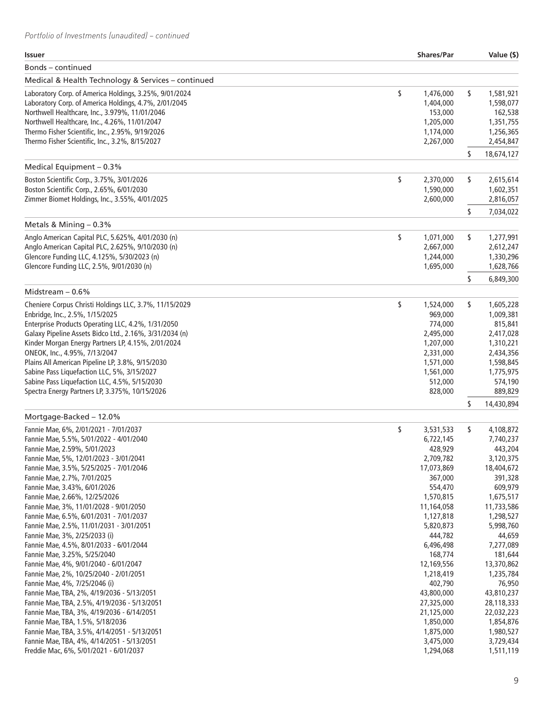| <b>Shares/Par</b>                                                                                                                                                                                                                                                                                       |           | Value (\$)                                                                                                                                                                                                                                                                                                   |
|---------------------------------------------------------------------------------------------------------------------------------------------------------------------------------------------------------------------------------------------------------------------------------------------------------|-----------|--------------------------------------------------------------------------------------------------------------------------------------------------------------------------------------------------------------------------------------------------------------------------------------------------------------|
|                                                                                                                                                                                                                                                                                                         |           |                                                                                                                                                                                                                                                                                                              |
|                                                                                                                                                                                                                                                                                                         |           |                                                                                                                                                                                                                                                                                                              |
| \$<br>1,476,000<br>1,404,000<br>153,000<br>1,205,000<br>1,174,000<br>2,267,000                                                                                                                                                                                                                          | \$        | 1,581,921<br>1,598,077<br>162,538<br>1,351,755<br>1,256,365<br>2,454,847                                                                                                                                                                                                                                     |
|                                                                                                                                                                                                                                                                                                         |           | 18,674,127                                                                                                                                                                                                                                                                                                   |
| \$<br>2,370,000<br>1,590,000<br>2,600,000                                                                                                                                                                                                                                                               | \$        | 2,615,614<br>1,602,351<br>2,816,057<br>7,034,022                                                                                                                                                                                                                                                             |
|                                                                                                                                                                                                                                                                                                         |           |                                                                                                                                                                                                                                                                                                              |
| \$<br>1,071,000<br>2,667,000<br>1,244,000<br>1,695,000                                                                                                                                                                                                                                                  | \$<br>\$  | 1,277,991<br>2,612,247<br>1,330,296<br>1,628,766<br>6,849,300                                                                                                                                                                                                                                                |
|                                                                                                                                                                                                                                                                                                         |           |                                                                                                                                                                                                                                                                                                              |
| \$<br>1,524,000<br>969,000<br>774,000<br>2,495,000<br>1,207,000<br>2,331,000<br>1,571,000<br>1,561,000<br>512,000<br>828,000                                                                                                                                                                            | \$        | 1,605,228<br>1,009,381<br>815,841<br>2,417,028<br>1,310,221<br>2,434,356<br>1,598,845<br>1,775,975<br>574,190<br>889,829<br>14,430,894                                                                                                                                                                       |
|                                                                                                                                                                                                                                                                                                         |           |                                                                                                                                                                                                                                                                                                              |
| \$<br>3,531,533<br>6,722,145<br>428,929<br>2,709,782<br>17,073,869<br>367,000<br>554,470<br>1,570,815<br>11,164,058<br>1,127,818<br>5,820,873<br>444,782<br>6,496,498<br>168,774<br>12,169,556<br>1,218,419<br>402,790<br>43,800,000<br>27,325,000<br>21,125,000<br>1,850,000<br>1,875,000<br>3,475,000 | \$        | 4,108,872<br>7,740,237<br>443,204<br>3,120,375<br>18,404,672<br>391,328<br>609,979<br>1,675,517<br>11,733,586<br>1,298,527<br>5,998,760<br>44,659<br>7,277,089<br>181,644<br>13,370,862<br>1,235,784<br>76,950<br>43,810,237<br>28,118,333<br>22,032,223<br>1,854,876<br>1,980,527<br>3,729,434<br>1,511,119 |
|                                                                                                                                                                                                                                                                                                         | 1,294,068 | \$<br>\$<br>s                                                                                                                                                                                                                                                                                                |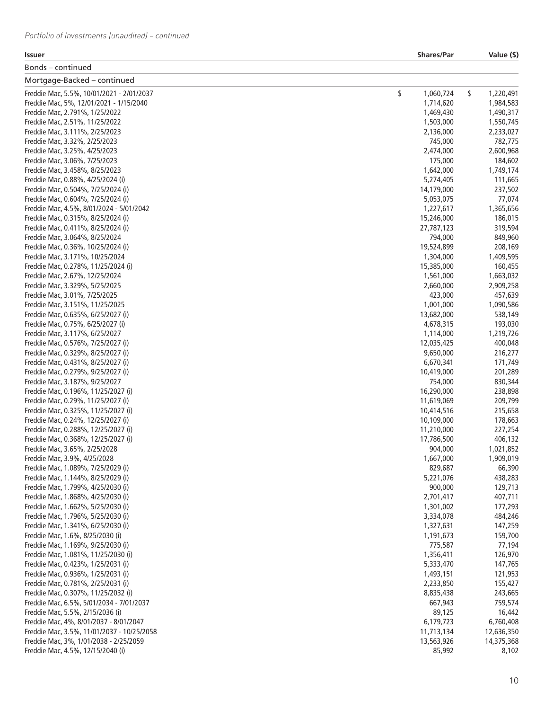| Issuer                                                                   | <b>Shares/Par</b>       | Value (\$)         |
|--------------------------------------------------------------------------|-------------------------|--------------------|
| Bonds – continued                                                        |                         |                    |
| Mortgage-Backed - continued                                              |                         |                    |
| Freddie Mac, 5.5%, 10/01/2021 - 2/01/2037                                | \$<br>1,060,724         | \$<br>1,220,491    |
| Freddie Mac, 5%, 12/01/2021 - 1/15/2040                                  | 1,714,620               | 1,984,583          |
| Freddie Mac, 2.791%, 1/25/2022                                           | 1,469,430               | 1,490,317          |
| Freddie Mac, 2.51%, 11/25/2022                                           | 1,503,000               | 1,550,745          |
| Freddie Mac, 3.111%, 2/25/2023                                           | 2,136,000               | 2,233,027          |
| Freddie Mac, 3.32%, 2/25/2023                                            | 745,000                 | 782,775            |
| Freddie Mac, 3.25%, 4/25/2023                                            | 2,474,000               | 2,600,968          |
| Freddie Mac, 3.06%, 7/25/2023                                            | 175,000                 | 184,602            |
| Freddie Mac, 3.458%, 8/25/2023                                           | 1,642,000               | 1,749,174          |
| Freddie Mac, 0.88%, 4/25/2024 (i)                                        | 5,274,405               | 111,665            |
| Freddie Mac, 0.504%, 7/25/2024 (i)                                       | 14,179,000              | 237,502            |
| Freddie Mac, 0.604%, 7/25/2024 (i)                                       | 5,053,075               | 77,074             |
| Freddie Mac, 4.5%, 8/01/2024 - 5/01/2042                                 | 1,227,617               | 1,365,656          |
| Freddie Mac, 0.315%, 8/25/2024 (i)                                       | 15,246,000              | 186,015            |
| Freddie Mac, 0.411%, 8/25/2024 (i)                                       | 27,787,123              | 319,594            |
| Freddie Mac, 3.064%, 8/25/2024                                           | 794,000                 | 849,960            |
| Freddie Mac, 0.36%, 10/25/2024 (i)                                       | 19,524,899              | 208,169            |
| Freddie Mac, 3.171%, 10/25/2024                                          | 1,304,000               | 1,409,595          |
| Freddie Mac, 0.278%, 11/25/2024 (i)                                      | 15,385,000              | 160,455            |
| Freddie Mac, 2.67%, 12/25/2024                                           | 1,561,000               | 1,663,032          |
| Freddie Mac, 3.329%, 5/25/2025                                           | 2,660,000               | 2,909,258          |
| Freddie Mac, 3.01%, 7/25/2025                                            | 423,000                 | 457,639            |
| Freddie Mac, 3.151%, 11/25/2025                                          | 1,001,000               | 1,090,586          |
| Freddie Mac, 0.635%, 6/25/2027 (i)                                       | 13,682,000              | 538,149            |
| Freddie Mac, 0.75%, 6/25/2027 (i)                                        | 4,678,315               | 193,030            |
| Freddie Mac, 3.117%, 6/25/2027                                           | 1,114,000               | 1,219,726          |
| Freddie Mac, 0.576%, 7/25/2027 (i)<br>Freddie Mac, 0.329%, 8/25/2027 (i) | 12,035,425<br>9,650,000 | 400,048<br>216,277 |
| Freddie Mac, 0.431%, 8/25/2027 (i)                                       | 6,670,341               | 171,749            |
| Freddie Mac, 0.279%, 9/25/2027 (i)                                       | 10,419,000              | 201,289            |
| Freddie Mac, 3.187%, 9/25/2027                                           | 754,000                 | 830,344            |
| Freddie Mac, 0.196%, 11/25/2027 (i)                                      | 16,290,000              | 238,898            |
| Freddie Mac, 0.29%, 11/25/2027 (i)                                       | 11,619,069              | 209,799            |
| Freddie Mac, 0.325%, 11/25/2027 (i)                                      | 10,414,516              | 215,658            |
| Freddie Mac, 0.24%, 12/25/2027 (i)                                       | 10,109,000              | 178,663            |
| Freddie Mac, 0.288%, 12/25/2027 (i)                                      | 11,210,000              | 227,254            |
| Freddie Mac, 0.368%, 12/25/2027 (i)                                      | 17,786,500              | 406,132            |
| Freddie Mac, 3.65%, 2/25/2028                                            | 904,000                 | 1,021,852          |
| Freddie Mac, 3.9%, 4/25/2028                                             | 1,667,000               | 1,909,019          |
| Freddie Mac, 1.089%, 7/25/2029 (i)                                       | 829,687                 | 66,390             |
| Freddie Mac, 1.144%, 8/25/2029 (i)                                       | 5,221,076               | 438,283            |
| Freddie Mac, 1.799%, 4/25/2030 (i)                                       | 900,000                 | 129,713            |
| Freddie Mac, 1.868%, 4/25/2030 (i)                                       | 2,701,417               | 407,711            |
| Freddie Mac, 1.662%, 5/25/2030 (i)                                       | 1,301,002               | 177,293            |
| Freddie Mac, 1.796%, 5/25/2030 (i)                                       | 3,334,078               | 484,246            |
| Freddie Mac, 1.341%, 6/25/2030 (i)                                       | 1,327,631               | 147,259            |
| Freddie Mac, 1.6%, 8/25/2030 (i)                                         | 1,191,673               | 159,700            |
| Freddie Mac, 1.169%, 9/25/2030 (i)                                       | 775,587                 | 77,194             |
| Freddie Mac, 1.081%, 11/25/2030 (i)                                      | 1,356,411               | 126,970            |
| Freddie Mac, 0.423%, 1/25/2031 (i)                                       | 5,333,470               | 147,765            |
| Freddie Mac, 0.936%, 1/25/2031 (i)                                       | 1,493,151               | 121,953            |
| Freddie Mac, 0.781%, 2/25/2031 (i)                                       | 2,233,850               | 155,427            |
| Freddie Mac, 0.307%, 11/25/2032 (i)                                      | 8,835,438               | 243,665            |
| Freddie Mac, 6.5%, 5/01/2034 - 7/01/2037                                 | 667,943                 | 759,574            |
| Freddie Mac, 5.5%, 2/15/2036 (i)                                         | 89,125                  | 16,442             |
| Freddie Mac, 4%, 8/01/2037 - 8/01/2047                                   | 6,179,723               | 6,760,408          |
| Freddie Mac, 3.5%, 11/01/2037 - 10/25/2058                               | 11,713,134              | 12,636,350         |
| Freddie Mac, 3%, 1/01/2038 - 2/25/2059                                   | 13,563,926              | 14,375,368         |
| Freddie Mac, 4.5%, 12/15/2040 (i)                                        | 85,992                  | 8,102              |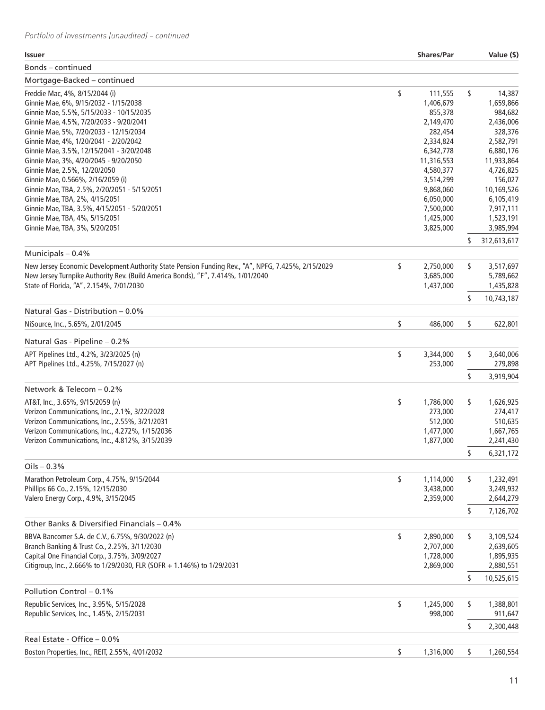| <b>Issuer</b>                                                                                      | <b>Shares/Par</b> | Value (\$)        |
|----------------------------------------------------------------------------------------------------|-------------------|-------------------|
| Bonds – continued                                                                                  |                   |                   |
| Mortgage-Backed - continued                                                                        |                   |                   |
| Freddie Mac, 4%, 8/15/2044 (i)                                                                     | \$<br>111,555     | \$<br>14,387      |
| Ginnie Mae, 6%, 9/15/2032 - 1/15/2038                                                              | 1,406,679         | 1,659,866         |
| Ginnie Mae, 5.5%, 5/15/2033 - 10/15/2035                                                           | 855,378           | 984,682           |
| Ginnie Mae, 4.5%, 7/20/2033 - 9/20/2041                                                            | 2,149,470         | 2,436,006         |
| Ginnie Mae, 5%, 7/20/2033 - 12/15/2034                                                             | 282,454           | 328,376           |
| Ginnie Mae, 4%, 1/20/2041 - 2/20/2042                                                              | 2,334,824         | 2,582,791         |
| Ginnie Mae, 3.5%, 12/15/2041 - 3/20/2048                                                           | 6,342,778         | 6,880,176         |
| Ginnie Mae, 3%, 4/20/2045 - 9/20/2050                                                              | 11,316,553        | 11,933,864        |
| Ginnie Mae, 2.5%, 12/20/2050                                                                       | 4,580,377         | 4,726,825         |
| Ginnie Mae, 0.566%, 2/16/2059 (i)                                                                  | 3,514,299         | 156,027           |
| Ginnie Mae, TBA, 2.5%, 2/20/2051 - 5/15/2051                                                       | 9,868,060         | 10,169,526        |
| Ginnie Mae, TBA, 2%, 4/15/2051                                                                     | 6,050,000         | 6,105,419         |
| Ginnie Mae, TBA, 3.5%, 4/15/2051 - 5/20/2051                                                       | 7,500,000         | 7,917,111         |
| Ginnie Mae, TBA, 4%, 5/15/2051                                                                     | 1,425,000         | 1,523,191         |
| Ginnie Mae, TBA, 3%, 5/20/2051                                                                     | 3,825,000         | 3,985,994         |
|                                                                                                    |                   | \$<br>312,613,617 |
| Municipals - 0.4%                                                                                  |                   |                   |
| New Jersey Economic Development Authority State Pension Funding Rev., "A", NPFG, 7.425%, 2/15/2029 | \$<br>2,750,000   | \$<br>3,517,697   |
| New Jersey Turnpike Authority Rev. (Build America Bonds), "F", 7.414%, 1/01/2040                   | 3,685,000         | 5,789,662         |
| State of Florida, "A", 2.154%, 7/01/2030                                                           | 1,437,000         | 1,435,828         |
|                                                                                                    |                   | \$<br>10,743,187  |
| Natural Gas - Distribution - 0.0%                                                                  |                   |                   |
| NiSource, Inc., 5.65%, 2/01/2045                                                                   | \$<br>486,000     | \$<br>622,801     |
| Natural Gas - Pipeline - 0.2%                                                                      |                   |                   |
| APT Pipelines Ltd., 4.2%, 3/23/2025 (n)                                                            | \$<br>3,344,000   | \$<br>3,640,006   |
| APT Pipelines Ltd., 4.25%, 7/15/2027 (n)                                                           | 253,000           | 279,898           |
|                                                                                                    |                   | \$<br>3,919,904   |
| Network & Telecom - 0.2%                                                                           |                   |                   |
| AT&T, Inc., 3.65%, 9/15/2059 (n)                                                                   | \$<br>1,786,000   | \$<br>1,626,925   |
| Verizon Communications, Inc., 2.1%, 3/22/2028                                                      | 273,000           | 274,417           |
| Verizon Communications, Inc., 2.55%, 3/21/2031                                                     | 512,000           | 510,635           |
| Verizon Communications, Inc., 4.272%, 1/15/2036                                                    | 1,477,000         | 1,667,765         |
| Verizon Communications, Inc., 4.812%, 3/15/2039                                                    | 1,877,000         |                   |
|                                                                                                    |                   | 2,241,430         |
|                                                                                                    |                   | \$<br>6,321,172   |
| Oils $-0.3%$                                                                                       |                   |                   |
| Marathon Petroleum Corp., 4.75%, 9/15/2044                                                         | \$<br>1,114,000   | \$<br>1,232,491   |
| Phillips 66 Co., 2.15%, 12/15/2030                                                                 | 3,438,000         | 3,249,932         |
| Valero Energy Corp., 4.9%, 3/15/2045                                                               | 2,359,000         | 2,644,279         |
|                                                                                                    |                   | \$<br>7,126,702   |
| Other Banks & Diversified Financials – 0.4%                                                        |                   |                   |
| BBVA Bancomer S.A. de C.V., 6.75%, 9/30/2022 (n)                                                   | \$<br>2,890,000   | \$<br>3,109,524   |
| Branch Banking & Trust Co., 2.25%, 3/11/2030                                                       | 2,707,000         | 2,639,605         |
| Capital One Financial Corp., 3.75%, 3/09/2027                                                      | 1,728,000         | 1,895,935         |
| Citigroup, Inc., 2.666% to 1/29/2030, FLR (SOFR + 1.146%) to 1/29/2031                             | 2,869,000         | 2,880,551         |
|                                                                                                    |                   | \$<br>10,525,615  |
| Pollution Control - 0.1%                                                                           |                   |                   |
| Republic Services, Inc., 3.95%, 5/15/2028                                                          | \$<br>1,245,000   | \$<br>1,388,801   |
| Republic Services, Inc., 1.45%, 2/15/2031                                                          | 998,000           | 911,647           |
|                                                                                                    |                   |                   |
|                                                                                                    |                   | \$<br>2,300,448   |
| Real Estate - Office - 0.0%                                                                        |                   |                   |
| Boston Properties, Inc., REIT, 2.55%, 4/01/2032                                                    | \$<br>1,316,000   | \$<br>1,260,554   |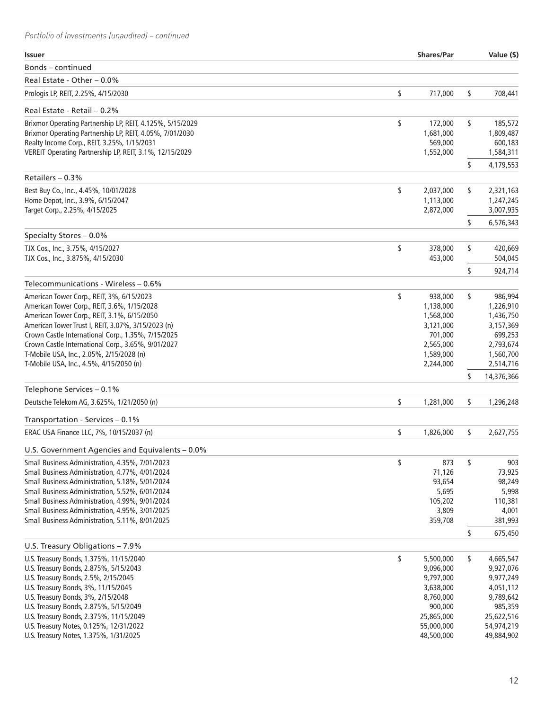| <b>Issuer</b>                                                                                          | <b>Shares/Par</b>      | Value (\$)             |
|--------------------------------------------------------------------------------------------------------|------------------------|------------------------|
| Bonds - continued                                                                                      |                        |                        |
| Real Estate - Other - 0.0%                                                                             |                        |                        |
| Prologis LP, REIT, 2.25%, 4/15/2030                                                                    | \$<br>717,000          | \$<br>708,441          |
| Real Estate - Retail - 0.2%                                                                            |                        |                        |
| Brixmor Operating Partnership LP, REIT, 4.125%, 5/15/2029                                              | \$<br>172,000          | \$<br>185,572          |
| Brixmor Operating Partnership LP, REIT, 4.05%, 7/01/2030                                               | 1,681,000              | 1,809,487              |
| Realty Income Corp., REIT, 3.25%, 1/15/2031<br>VEREIT Operating Partnership LP, REIT, 3.1%, 12/15/2029 | 569,000<br>1,552,000   | 600,183<br>1,584,311   |
|                                                                                                        |                        | \$<br>4,179,553        |
| Retailers - 0.3%                                                                                       |                        |                        |
| Best Buy Co., Inc., 4.45%, 10/01/2028                                                                  | \$<br>2,037,000        | \$<br>2,321,163        |
| Home Depot, Inc., 3.9%, 6/15/2047                                                                      | 1,113,000              | 1,247,245              |
| Target Corp., 2.25%, 4/15/2025                                                                         | 2,872,000              | 3,007,935              |
|                                                                                                        |                        | \$<br>6,576,343        |
| Specialty Stores - 0.0%<br>TJX Cos., Inc., 3.75%, 4/15/2027                                            | \$<br>378,000          | \$<br>420,669          |
| TJX Cos., Inc., 3.875%, 4/15/2030                                                                      | 453,000                | 504,045                |
|                                                                                                        |                        | \$<br>924,714          |
| Telecommunications - Wireless - 0.6%                                                                   |                        |                        |
| American Tower Corp., REIT, 3%, 6/15/2023                                                              | \$<br>938,000          | \$<br>986,994          |
| American Tower Corp., REIT, 3.6%, 1/15/2028                                                            | 1,138,000              | 1,226,910              |
| American Tower Corp., REIT, 3.1%, 6/15/2050                                                            | 1,568,000              | 1,436,750              |
| American Tower Trust I, REIT, 3.07%, 3/15/2023 (n)                                                     | 3,121,000              | 3,157,369              |
| Crown Castle International Corp., 1.35%, 7/15/2025                                                     | 701,000                | 699,253                |
| Crown Castle International Corp., 3.65%, 9/01/2027                                                     | 2,565,000              | 2,793,674              |
| T-Mobile USA, Inc., 2.05%, 2/15/2028 (n)<br>T-Mobile USA, Inc., 4.5%, 4/15/2050 (n)                    | 1,589,000<br>2,244,000 | 1,560,700<br>2,514,716 |
|                                                                                                        |                        | \$<br>14,376,366       |
| Telephone Services - 0.1%                                                                              |                        |                        |
| Deutsche Telekom AG, 3.625%, 1/21/2050 (n)                                                             | \$<br>1,281,000        | \$<br>1,296,248        |
| Transportation - Services - 0.1%                                                                       |                        |                        |
| ERAC USA Finance LLC, 7%, 10/15/2037 (n)                                                               | \$<br>1,826,000        | \$<br>2,627,755        |
| U.S. Government Agencies and Equivalents - 0.0%                                                        |                        |                        |
| Small Business Administration, 4.35%, 7/01/2023                                                        | \$<br>873              | \$<br>903              |
| Small Business Administration, 4.77%, 4/01/2024                                                        | 71,126                 | 73,925                 |
| Small Business Administration, 5.18%, 5/01/2024                                                        | 93,654                 | 98,249                 |
| Small Business Administration, 5.52%, 6/01/2024                                                        | 5,695                  | 5,998                  |
| Small Business Administration, 4.99%, 9/01/2024<br>Small Business Administration, 4.95%, 3/01/2025     | 105,202<br>3,809       | 110,381<br>4,001       |
| Small Business Administration, 5.11%, 8/01/2025                                                        | 359,708                | 381,993                |
|                                                                                                        |                        | \$<br>675,450          |
| U.S. Treasury Obligations - 7.9%                                                                       |                        |                        |
| U.S. Treasury Bonds, 1.375%, 11/15/2040                                                                | \$<br>5,500,000        | \$<br>4,665,547        |
| U.S. Treasury Bonds, 2.875%, 5/15/2043                                                                 | 9,096,000              | 9,927,076              |
| U.S. Treasury Bonds, 2.5%, 2/15/2045                                                                   | 9,797,000              | 9,977,249              |
| U.S. Treasury Bonds, 3%, 11/15/2045                                                                    | 3,638,000              | 4,051,112              |
| U.S. Treasury Bonds, 3%, 2/15/2048<br>U.S. Treasury Bonds, 2.875%, 5/15/2049                           | 8,760,000<br>900,000   | 9,789,642<br>985,359   |
| U.S. Treasury Bonds, 2.375%, 11/15/2049                                                                | 25,865,000             | 25,622,516             |
| U.S. Treasury Notes, 0.125%, 12/31/2022                                                                | 55,000,000             | 54,974,219             |
| U.S. Treasury Notes, 1.375%, 1/31/2025                                                                 | 48,500,000             | 49,884,902             |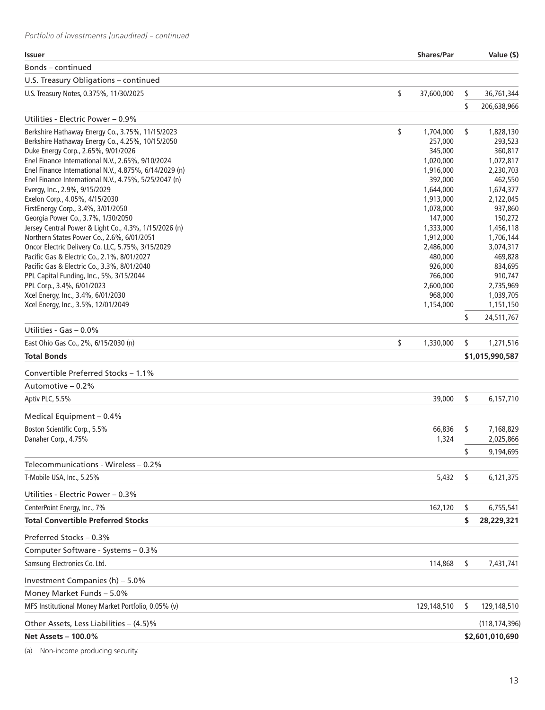| <b>Issuer</b>                                                        | <b>Shares/Par</b>      |     | Value (\$)           |
|----------------------------------------------------------------------|------------------------|-----|----------------------|
| Bonds – continued                                                    |                        |     |                      |
| U.S. Treasury Obligations - continued                                |                        |     |                      |
| U.S. Treasury Notes, 0.375%, 11/30/2025                              | \$<br>37,600,000       | \$  | 36,761,344           |
|                                                                      |                        | \$  | 206,638,966          |
| Utilities - Electric Power – 0.9%                                    |                        |     |                      |
| Berkshire Hathaway Energy Co., 3.75%, 11/15/2023                     | \$<br>1,704,000        | \$  | 1,828,130            |
| Berkshire Hathaway Energy Co., 4.25%, 10/15/2050                     | 257,000                |     | 293,523              |
| Duke Energy Corp., 2.65%, 9/01/2026                                  | 345,000                |     | 360,817              |
| Enel Finance International N.V., 2.65%, 9/10/2024                    | 1,020,000              |     | 1,072,817            |
| Enel Finance International N.V., 4.875%, 6/14/2029 (n)               | 1,916,000              |     | 2,230,703            |
| Enel Finance International N.V., 4.75%, 5/25/2047 (n)                | 392,000                |     | 462,550              |
| Evergy, Inc., 2.9%, 9/15/2029                                        | 1,644,000              |     | 1,674,377            |
| Exelon Corp., 4.05%, 4/15/2030<br>FirstEnergy Corp., 3.4%, 3/01/2050 | 1,913,000<br>1,078,000 |     | 2,122,045<br>937,860 |
| Georgia Power Co., 3.7%, 1/30/2050                                   | 147,000                |     | 150,272              |
| Jersey Central Power & Light Co., 4.3%, 1/15/2026 (n)                | 1,333,000              |     | 1,456,118            |
| Northern States Power Co., 2.6%, 6/01/2051                           | 1,912,000              |     | 1,706,144            |
| Oncor Electric Delivery Co. LLC, 5.75%, 3/15/2029                    | 2,486,000              |     | 3,074,317            |
| Pacific Gas & Electric Co., 2.1%, 8/01/2027                          | 480,000                |     | 469,828              |
| Pacific Gas & Electric Co., 3.3%, 8/01/2040                          | 926,000                |     | 834,695              |
| PPL Capital Funding, Inc., 5%, 3/15/2044                             | 766,000                |     | 910,747              |
| PPL Corp., 3.4%, 6/01/2023                                           | 2,600,000              |     | 2,735,969            |
| Xcel Energy, Inc., 3.4%, 6/01/2030                                   | 968,000                |     | 1,039,705            |
| Xcel Energy, Inc., 3.5%, 12/01/2049                                  | 1,154,000              |     | 1,151,150            |
|                                                                      |                        | \$  | 24,511,767           |
| Utilities - Gas - 0.0%                                               |                        |     |                      |
| East Ohio Gas Co., 2%, 6/15/2030 (n)                                 | \$<br>1,330,000        | \$  | 1,271,516            |
| <b>Total Bonds</b>                                                   |                        |     | \$1,015,990,587      |
| Convertible Preferred Stocks - 1.1%                                  |                        |     |                      |
| Automotive - 0.2%                                                    |                        |     |                      |
| Aptiv PLC, 5.5%                                                      | 39,000                 | \$  | 6,157,710            |
| Medical Equipment - 0.4%                                             |                        |     |                      |
| Boston Scientific Corp., 5.5%                                        | 66,836                 | \$  | 7,168,829            |
| Danaher Corp., 4.75%                                                 | 1,324                  |     | 2,025,866            |
|                                                                      |                        | \$  | 9,194,695            |
| Telecommunications - Wireless – 0.2%                                 |                        |     |                      |
| T-Mobile USA, Inc., 5.25%                                            | 5,432                  | \$  | 6,121,375            |
| Utilities - Electric Power - 0.3%                                    |                        |     |                      |
| CenterPoint Energy, Inc., 7%                                         | 162,120                | \$  | 6,755,541            |
| <b>Total Convertible Preferred Stocks</b>                            |                        | \$  | 28,229,321           |
| Preferred Stocks - 0.3%                                              |                        |     |                      |
| Computer Software - Systems - 0.3%                                   |                        |     |                      |
| Samsung Electronics Co. Ltd.                                         | 114,868                | \$. | 7,431,741            |
| Investment Companies (h) - 5.0%                                      |                        |     |                      |
| Money Market Funds - 5.0%                                            |                        |     |                      |
| MFS Institutional Money Market Portfolio, 0.05% (v)                  | 129,148,510            | S   | 129,148,510          |
| Other Assets, Less Liabilities - (4.5)%                              |                        |     | (118, 174, 396)      |
| Net Assets - 100.0%                                                  |                        |     | \$2,601,010,690      |
|                                                                      |                        |     |                      |

(a) Non-income producing security.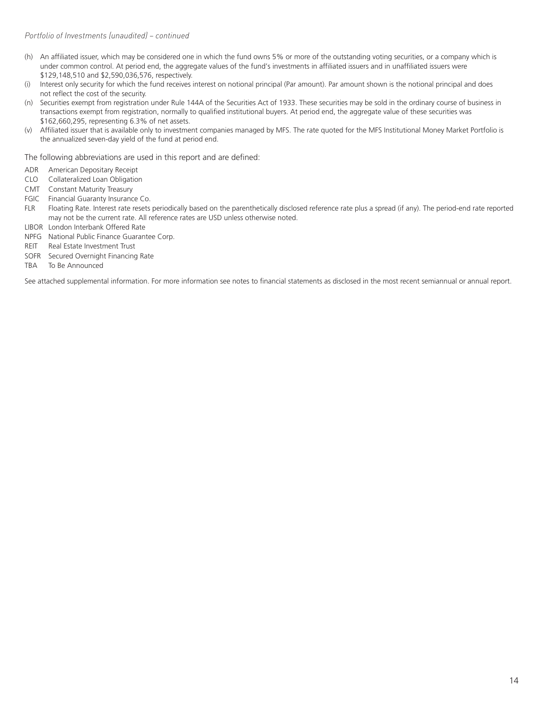- (h) An affiliated issuer, which may be considered one in which the fund owns 5% or more of the outstanding voting securities, or a company which is under common control. At period end, the aggregate values of the fund's investments in affiliated issuers and in unaffiliated issuers were \$129,148,510 and \$2,590,036,576, respectively.
- (i) Interest only security for which the fund receives interest on notional principal (Par amount). Par amount shown is the notional principal and does not reflect the cost of the security.
- (n) Securities exempt from registration under Rule 144A of the Securities Act of 1933. These securities may be sold in the ordinary course of business in transactions exempt from registration, normally to qualified institutional buyers. At period end, the aggregate value of these securities was \$162,660,295, representing 6.3% of net assets.
- (v) Affiliated issuer that is available only to investment companies managed by MFS. The rate quoted for the MFS Institutional Money Market Portfolio is the annualized seven-day yield of the fund at period end.

The following abbreviations are used in this report and are defined:

- ADR American Depositary Receipt
- CLO Collateralized Loan Obligation
- CMT Constant Maturity Treasury
- FGIC Financial Guaranty Insurance Co.
- FLR Floating Rate. Interest rate resets periodically based on the parenthetically disclosed reference rate plus a spread (if any). The period-end rate reported may not be the current rate. All reference rates are USD unless otherwise noted.
- LIBOR London Interbank Offered Rate
- NPFG National Public Finance Guarantee Corp.
- REIT Real Estate Investment Trust
- SOFR Secured Overnight Financing Rate
- TBA To Be Announced

See attached supplemental information. For more information see notes to financial statements as disclosed in the most recent semiannual or annual report.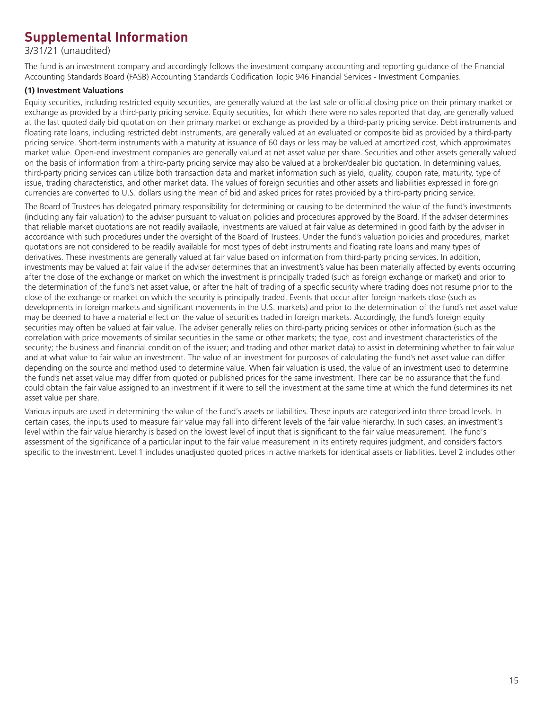## **Supplemental Information**

3/31/21 (unaudited)

The fund is an investment company and accordingly follows the investment company accounting and reporting guidance of the Financial Accounting Standards Board (FASB) Accounting Standards Codification Topic 946 Financial Services - Investment Companies.

#### **(1) Investment Valuations**

Equity securities, including restricted equity securities, are generally valued at the last sale or official closing price on their primary market or exchange as provided by a third-party pricing service. Equity securities, for which there were no sales reported that day, are generally valued at the last quoted daily bid quotation on their primary market or exchange as provided by a third-party pricing service. Debt instruments and floating rate loans, including restricted debt instruments, are generally valued at an evaluated or composite bid as provided by a third-party pricing service. Short-term instruments with a maturity at issuance of 60 days or less may be valued at amortized cost, which approximates market value. Open-end investment companies are generally valued at net asset value per share. Securities and other assets generally valued on the basis of information from a third-party pricing service may also be valued at a broker/dealer bid quotation. In determining values, third-party pricing services can utilize both transaction data and market information such as yield, quality, coupon rate, maturity, type of issue, trading characteristics, and other market data. The values of foreign securities and other assets and liabilities expressed in foreign currencies are converted to U.S. dollars using the mean of bid and asked prices for rates provided by a third-party pricing service.

The Board of Trustees has delegated primary responsibility for determining or causing to be determined the value of the fund's investments (including any fair valuation) to the adviser pursuant to valuation policies and procedures approved by the Board. If the adviser determines that reliable market quotations are not readily available, investments are valued at fair value as determined in good faith by the adviser in accordance with such procedures under the oversight of the Board of Trustees. Under the fund's valuation policies and procedures, market quotations are not considered to be readily available for most types of debt instruments and floating rate loans and many types of derivatives. These investments are generally valued at fair value based on information from third-party pricing services. In addition, investments may be valued at fair value if the adviser determines that an investment's value has been materially affected by events occurring after the close of the exchange or market on which the investment is principally traded (such as foreign exchange or market) and prior to the determination of the fund's net asset value, or after the halt of trading of a specific security where trading does not resume prior to the close of the exchange or market on which the security is principally traded. Events that occur after foreign markets close (such as developments in foreign markets and significant movements in the U.S. markets) and prior to the determination of the fund's net asset value may be deemed to have a material effect on the value of securities traded in foreign markets. Accordingly, the fund's foreign equity securities may often be valued at fair value. The adviser generally relies on third-party pricing services or other information (such as the correlation with price movements of similar securities in the same or other markets; the type, cost and investment characteristics of the security; the business and financial condition of the issuer; and trading and other market data) to assist in determining whether to fair value and at what value to fair value an investment. The value of an investment for purposes of calculating the fund's net asset value can differ depending on the source and method used to determine value. When fair valuation is used, the value of an investment used to determine the fund's net asset value may differ from quoted or published prices for the same investment. There can be no assurance that the fund could obtain the fair value assigned to an investment if it were to sell the investment at the same time at which the fund determines its net asset value per share.

Various inputs are used in determining the value of the fund's assets or liabilities. These inputs are categorized into three broad levels. In certain cases, the inputs used to measure fair value may fall into different levels of the fair value hierarchy. In such cases, an investment's level within the fair value hierarchy is based on the lowest level of input that is significant to the fair value measurement. The fund's assessment of the significance of a particular input to the fair value measurement in its entirety requires judgment, and considers factors specific to the investment. Level 1 includes unadjusted quoted prices in active markets for identical assets or liabilities. Level 2 includes other